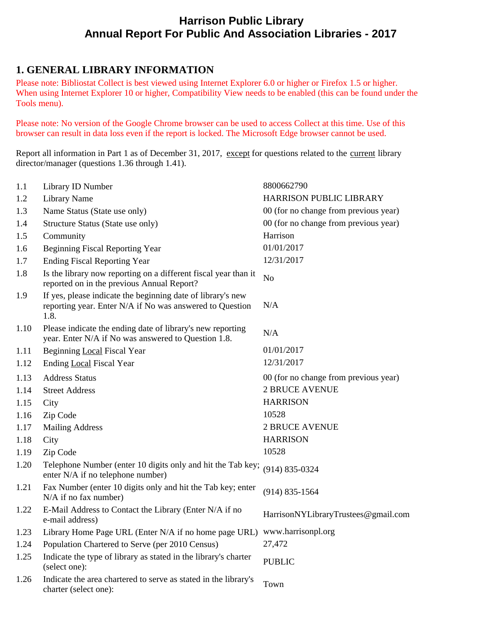## **Harrison Public Library Annual Report For Public And Association Libraries - 2017**

### **1. GENERAL LIBRARY INFORMATION**

Please note: Bibliostat Collect is best viewed using Internet Explorer 6.0 or higher or Firefox 1.5 or higher. When using Internet Explorer 10 or higher, Compatibility View needs to be enabled (this can be found under the Tools menu).

Please note: No version of the Google Chrome browser can be used to access Collect at this time. Use of this browser can result in data loss even if the report is locked. The Microsoft Edge browser cannot be used.

Report all information in Part 1 as of December 31, 2017, except for questions related to the current library director/manager (questions 1.36 through 1.41).

| 1.1  | Library ID Number                                                                                                               | 8800662790                            |
|------|---------------------------------------------------------------------------------------------------------------------------------|---------------------------------------|
| 1.2  | <b>Library Name</b>                                                                                                             | HARRISON PUBLIC LIBRARY               |
| 1.3  | Name Status (State use only)                                                                                                    | 00 (for no change from previous year) |
| 1.4  | Structure Status (State use only)                                                                                               | 00 (for no change from previous year) |
| 1.5  | Community                                                                                                                       | Harrison                              |
| 1.6  | <b>Beginning Fiscal Reporting Year</b>                                                                                          | 01/01/2017                            |
| 1.7  | <b>Ending Fiscal Reporting Year</b>                                                                                             | 12/31/2017                            |
| 1.8  | Is the library now reporting on a different fiscal year than it<br>reported on in the previous Annual Report?                   | N <sub>o</sub>                        |
| 1.9  | If yes, please indicate the beginning date of library's new<br>reporting year. Enter N/A if No was answered to Question<br>1.8. | N/A                                   |
| 1.10 | Please indicate the ending date of library's new reporting<br>year. Enter N/A if No was answered to Question 1.8.               | N/A                                   |
| 1.11 | Beginning Local Fiscal Year                                                                                                     | 01/01/2017                            |
| 1.12 | Ending Local Fiscal Year                                                                                                        | 12/31/2017                            |
| 1.13 | <b>Address Status</b>                                                                                                           | 00 (for no change from previous year) |
| 1.14 | <b>Street Address</b>                                                                                                           | <b>2 BRUCE AVENUE</b>                 |
| 1.15 | City                                                                                                                            | <b>HARRISON</b>                       |
| 1.16 | Zip Code                                                                                                                        | 10528                                 |
| 1.17 | <b>Mailing Address</b>                                                                                                          | <b>2 BRUCE AVENUE</b>                 |
| 1.18 | City                                                                                                                            | <b>HARRISON</b>                       |
| 1.19 | Zip Code                                                                                                                        | 10528                                 |
| 1.20 | Telephone Number (enter 10 digits only and hit the Tab key;<br>enter N/A if no telephone number)                                | $(914) 835 - 0324$                    |
| 1.21 | Fax Number (enter 10 digits only and hit the Tab key; enter<br>$N/A$ if no fax number)                                          | $(914) 835 - 1564$                    |
| 1.22 | E-Mail Address to Contact the Library (Enter N/A if no<br>e-mail address)                                                       | HarrisonNYLibraryTrustees@gmail.com   |
| 1.23 | Library Home Page URL (Enter N/A if no home page URL) www.harrisonpl.org                                                        |                                       |
| 1.24 | Population Chartered to Serve (per 2010 Census)                                                                                 | 27,472                                |
| 1.25 | Indicate the type of library as stated in the library's charter<br>(select one):                                                | <b>PUBLIC</b>                         |
| 1.26 | Indicate the area chartered to serve as stated in the library's<br>charter (select one):                                        | Town                                  |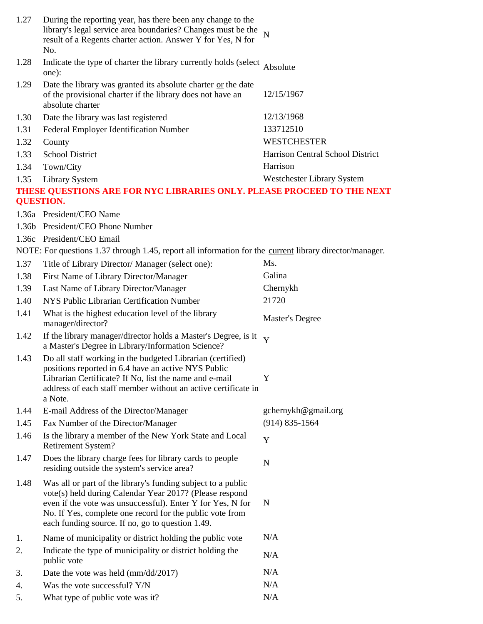| 1.27             | During the reporting year, has there been any change to the<br>library's legal service area boundaries? Changes must be the<br>result of a Regents charter action. Answer Y for Yes, N for<br>No.                                                                                                     | $\overline{N}$                   |
|------------------|-------------------------------------------------------------------------------------------------------------------------------------------------------------------------------------------------------------------------------------------------------------------------------------------------------|----------------------------------|
| 1.28             | Indicate the type of charter the library currently holds (select<br>one):                                                                                                                                                                                                                             | Absolute                         |
| 1.29             | Date the library was granted its absolute charter or the date<br>of the provisional charter if the library does not have an<br>absolute charter                                                                                                                                                       | 12/15/1967                       |
| 1.30             | Date the library was last registered                                                                                                                                                                                                                                                                  | 12/13/1968                       |
| 1.31             | Federal Employer Identification Number                                                                                                                                                                                                                                                                | 133712510                        |
| 1.32             | County                                                                                                                                                                                                                                                                                                | <b>WESTCHESTER</b>               |
| 1.33             | <b>School District</b>                                                                                                                                                                                                                                                                                | Harrison Central School District |
| 1.34             | Town/City                                                                                                                                                                                                                                                                                             | Harrison                         |
| 1.35             | <b>Library System</b>                                                                                                                                                                                                                                                                                 | Westchester Library System       |
| <b>QUESTION.</b> | THESE QUESTIONS ARE FOR NYC LIBRARIES ONLY. PLEASE PROCEED TO THE NEXT                                                                                                                                                                                                                                |                                  |
|                  | 1.36a President/CEO Name                                                                                                                                                                                                                                                                              |                                  |
|                  | 1.36b President/CEO Phone Number                                                                                                                                                                                                                                                                      |                                  |
|                  | 1.36c President/CEO Email                                                                                                                                                                                                                                                                             |                                  |
|                  | NOTE: For questions 1.37 through 1.45, report all information for the <u>current</u> library director/manager.                                                                                                                                                                                        |                                  |
| 1.37             | Title of Library Director/ Manager (select one):                                                                                                                                                                                                                                                      | Ms.                              |
| 1.38             | First Name of Library Director/Manager                                                                                                                                                                                                                                                                | Galina                           |
| 1.39             | Last Name of Library Director/Manager                                                                                                                                                                                                                                                                 | Chernykh                         |
| 1.40             | NYS Public Librarian Certification Number                                                                                                                                                                                                                                                             | 21720                            |
| 1.41             | What is the highest education level of the library<br>manager/director?                                                                                                                                                                                                                               | Master's Degree                  |
| 1.42             | If the library manager/director holds a Master's Degree, is it<br>a Master's Degree in Library/Information Science?                                                                                                                                                                                   | Y                                |
| 1.43             | Do all staff working in the budgeted Librarian (certified)<br>positions reported in 6.4 have an active NYS Public<br>Librarian Certificate? If No, list the name and e-mail<br>address of each staff member without an active certificate in<br>a Note.                                               | Y                                |
| 1.44             | E-mail Address of the Director/Manager                                                                                                                                                                                                                                                                | gchernykh@gmail.org              |
| 1.45             | Fax Number of the Director/Manager                                                                                                                                                                                                                                                                    | $(914) 835 - 1564$               |
| 1.46             | Is the library a member of the New York State and Local<br><b>Retirement System?</b>                                                                                                                                                                                                                  | Y                                |
| 1.47             | Does the library charge fees for library cards to people<br>residing outside the system's service area?                                                                                                                                                                                               | N                                |
| 1.48             | Was all or part of the library's funding subject to a public<br>vote(s) held during Calendar Year 2017? (Please respond<br>even if the vote was unsuccessful). Enter Y for Yes, N for<br>No. If Yes, complete one record for the public vote from<br>each funding source. If no, go to question 1.49. | N                                |
| 1.               | Name of municipality or district holding the public vote                                                                                                                                                                                                                                              | N/A                              |
| 2.               | Indicate the type of municipality or district holding the<br>public vote                                                                                                                                                                                                                              | N/A                              |
| 3.               | Date the vote was held (mm/dd/2017)                                                                                                                                                                                                                                                                   | N/A                              |
| 4.               | Was the vote successful? Y/N                                                                                                                                                                                                                                                                          | N/A                              |
| 5.               | What type of public vote was it?                                                                                                                                                                                                                                                                      | N/A                              |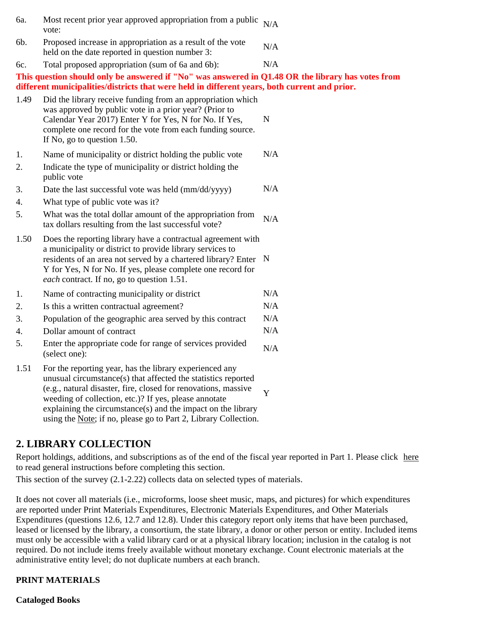| 6a.      | Most recent prior year approved appropriation from a public<br>vote:                                                                                                                                                                                                                                      | N/A |
|----------|-----------------------------------------------------------------------------------------------------------------------------------------------------------------------------------------------------------------------------------------------------------------------------------------------------------|-----|
| 6b.      | Proposed increase in appropriation as a result of the vote<br>held on the date reported in question number 3:                                                                                                                                                                                             | N/A |
| 6c.      | Total proposed appropriation (sum of 6a and 6b):                                                                                                                                                                                                                                                          | N/A |
|          | This question should only be answered if "No" was answered in Q1.48 OR the library has votes from<br>different municipalities/districts that were held in different years, both current and prior.                                                                                                        |     |
| 1.49     | Did the library receive funding from an appropriation which<br>was approved by public vote in a prior year? (Prior to<br>Calendar Year 2017) Enter Y for Yes, N for No. If Yes,<br>complete one record for the vote from each funding source.<br>If No, go to question 1.50.                              | N   |
| 1.<br>2. | Name of municipality or district holding the public vote<br>Indicate the type of municipality or district holding the<br>public vote                                                                                                                                                                      | N/A |
| 3.<br>4. | Date the last successful vote was held (mm/dd/yyyy)<br>What type of public vote was it?                                                                                                                                                                                                                   | N/A |
| 5.       | What was the total dollar amount of the appropriation from<br>tax dollars resulting from the last successful vote?                                                                                                                                                                                        | N/A |
| 1.50     | Does the reporting library have a contractual agreement with<br>a municipality or district to provide library services to<br>residents of an area not served by a chartered library? Enter N<br>Y for Yes, N for No. If yes, please complete one record for<br>each contract. If no, go to question 1.51. |     |
| 1.       | Name of contracting municipality or district                                                                                                                                                                                                                                                              | N/A |
| 2.       | Is this a written contractual agreement?                                                                                                                                                                                                                                                                  | N/A |
| 3.       | Population of the geographic area served by this contract                                                                                                                                                                                                                                                 | N/A |
| 4.       | Dollar amount of contract                                                                                                                                                                                                                                                                                 | N/A |
| 5.       | Enter the appropriate code for range of services provided<br>(select one):                                                                                                                                                                                                                                | N/A |
| 1.51     | For the reporting year, has the library experienced any<br>unusual circumstance(s) that affected the statistics reported<br>(e.g., natural disaster, fire, closed for renovations, massive<br>weeding of collection, etc.)? If yes, please annotate                                                       | Y   |

### **2. LIBRARY COLLECTION**

Report holdings, additions, and subscriptions as of the end of the fiscal year reported in Part 1. Please click here to read general instructions before completing this section.

This section of the survey (2.1-2.22) collects data on selected types of materials.

explaining the circumstance(s) and the impact on the library using the Note; if no, please go to Part 2, Library Collection.

It does not cover all materials (i.e., microforms, loose sheet music, maps, and pictures) for which expenditures are reported under Print Materials Expenditures, Electronic Materials Expenditures, and Other Materials Expenditures (questions 12.6, 12.7 and 12.8). Under this category report only items that have been purchased, leased or licensed by the library, a consortium, the state library, a donor or other person or entity. Included items must only be accessible with a valid library card or at a physical library location; inclusion in the catalog is not required. Do not include items freely available without monetary exchange. Count electronic materials at the administrative entity level; do not duplicate numbers at each branch.

#### **PRINT MATERIALS**

**Cataloged Books**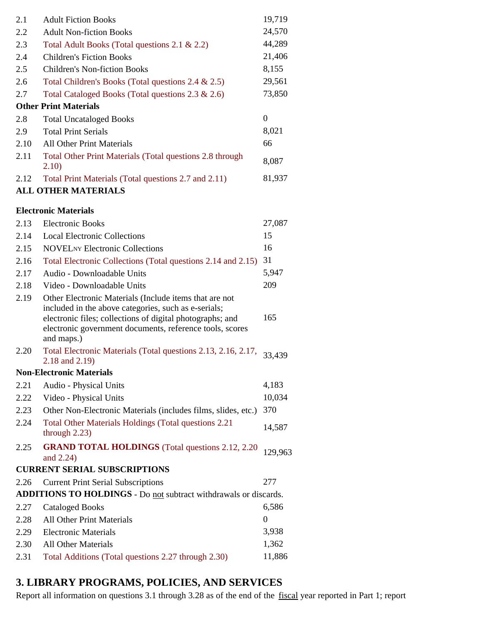| 2.1  | <b>Adult Fiction Books</b>                                                                                                                                                                                                                            | 19,719           |
|------|-------------------------------------------------------------------------------------------------------------------------------------------------------------------------------------------------------------------------------------------------------|------------------|
| 2.2  | <b>Adult Non-fiction Books</b>                                                                                                                                                                                                                        | 24,570           |
| 2.3  | Total Adult Books (Total questions 2.1 & 2.2)                                                                                                                                                                                                         | 44,289           |
| 2.4  | <b>Children's Fiction Books</b>                                                                                                                                                                                                                       | 21,406           |
| 2.5  | <b>Children's Non-fiction Books</b>                                                                                                                                                                                                                   | 8,155            |
| 2.6  | Total Children's Books (Total questions 2.4 & 2.5)                                                                                                                                                                                                    | 29,561           |
| 2.7  | Total Cataloged Books (Total questions 2.3 & 2.6)                                                                                                                                                                                                     | 73,850           |
|      | <b>Other Print Materials</b>                                                                                                                                                                                                                          |                  |
| 2.8  | <b>Total Uncataloged Books</b>                                                                                                                                                                                                                        | $\boldsymbol{0}$ |
| 2.9  | <b>Total Print Serials</b>                                                                                                                                                                                                                            | 8,021            |
| 2.10 | <b>All Other Print Materials</b>                                                                                                                                                                                                                      | 66               |
| 2.11 | Total Other Print Materials (Total questions 2.8 through<br>2.10)                                                                                                                                                                                     | 8,087            |
| 2.12 | Total Print Materials (Total questions 2.7 and 2.11)                                                                                                                                                                                                  | 81,937           |
|      | <b>ALL OTHER MATERIALS</b>                                                                                                                                                                                                                            |                  |
|      | <b>Electronic Materials</b>                                                                                                                                                                                                                           |                  |
| 2.13 | <b>Electronic Books</b>                                                                                                                                                                                                                               | 27,087           |
| 2.14 | <b>Local Electronic Collections</b>                                                                                                                                                                                                                   | 15               |
| 2.15 | <b>NOVEL</b> NY Electronic Collections                                                                                                                                                                                                                | 16               |
|      |                                                                                                                                                                                                                                                       | 31               |
| 2.16 | Total Electronic Collections (Total questions 2.14 and 2.15)<br>Audio - Downloadable Units                                                                                                                                                            | 5,947            |
| 2.17 |                                                                                                                                                                                                                                                       | 209              |
| 2.18 | Video - Downloadable Units                                                                                                                                                                                                                            |                  |
| 2.19 | Other Electronic Materials (Include items that are not<br>included in the above categories, such as e-serials;<br>electronic files; collections of digital photographs; and<br>electronic government documents, reference tools, scores<br>and maps.) | 165              |
| 2.20 | Total Electronic Materials (Total questions 2.13, 2.16, 2.17, 33,439)<br>2.18 and 2.19)                                                                                                                                                               |                  |
|      | <b>Non-Electronic Materials</b>                                                                                                                                                                                                                       |                  |
| 2.21 | Audio - Physical Units                                                                                                                                                                                                                                | 4,183            |
| 2.22 | Video - Physical Units                                                                                                                                                                                                                                | 10,034           |
| 2.23 | Other Non-Electronic Materials (includes films, slides, etc.)                                                                                                                                                                                         | 370              |
| 2.24 | Total Other Materials Holdings (Total questions 2.21)<br>through $2.23$ )                                                                                                                                                                             | 14,587           |
| 2.25 | <b>GRAND TOTAL HOLDINGS</b> (Total questions 2.12, 2.20)<br>and 2.24)                                                                                                                                                                                 | 129,963          |
|      | <b>CURRENT SERIAL SUBSCRIPTIONS</b>                                                                                                                                                                                                                   |                  |
| 2.26 | <b>Current Print Serial Subscriptions</b>                                                                                                                                                                                                             | 277              |
|      | <b>ADDITIONS TO HOLDINGS</b> - Do not subtract withdrawals or discards.                                                                                                                                                                               |                  |
| 2.27 | <b>Cataloged Books</b>                                                                                                                                                                                                                                | 6,586            |
| 2.28 | All Other Print Materials                                                                                                                                                                                                                             | $\boldsymbol{0}$ |

2.29 Electronic Materials 3,938 2.30 All Other Materials 1,362 2.31 Total Additions (Total questions 2.27 through 2.30) 11,886

# **3. LIBRARY PROGRAMS, POLICIES, AND SERVICES**

Report all information on questions 3.1 through 3.28 as of the end of the fiscal year reported in Part 1; report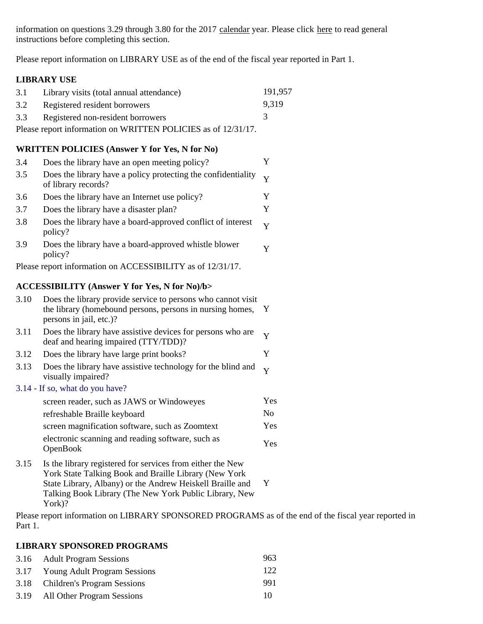information on questions 3.29 through 3.80 for the 2017 calendar year. Please click here to read general instructions before completing this section.

Please report information on LIBRARY USE as of the end of the fiscal year reported in Part 1.

#### **LIBRARY USE**

|                                                               | 3.1 Library visits (total annual attendance) | 191.957 |
|---------------------------------------------------------------|----------------------------------------------|---------|
|                                                               | 3.2 Registered resident borrowers            | 9.319   |
|                                                               | 3.3 Registered non-resident borrowers        |         |
| Please report information on WRITTEN POLICIES as of 12/31/17. |                                              |         |

#### **WRITTEN POLICIES (Answer Y for Yes, N for No)**

| 3.4  | Does the library have an open meeting policy?                                                                                                        | Y              |
|------|------------------------------------------------------------------------------------------------------------------------------------------------------|----------------|
| 3.5  | Does the library have a policy protecting the confidentiality<br>of library records?                                                                 | Y              |
| 3.6  | Does the library have an Internet use policy?                                                                                                        | Y              |
| 3.7  | Does the library have a disaster plan?                                                                                                               | Y              |
| 3.8  | Does the library have a board-approved conflict of interest<br>policy?                                                                               | Y              |
| 3.9  | Does the library have a board-approved whistle blower<br>policy?                                                                                     | Y              |
|      | Please report information on ACCESSIBILITY as of 12/31/17.                                                                                           |                |
|      | <b>ACCESSIBILITY (Answer Y for Yes, N for No)/b&gt;</b>                                                                                              |                |
| 3.10 | Does the library provide service to persons who cannot visit<br>the library (homebound persons, persons in nursing homes,<br>persons in jail, etc.)? | $\mathbf{Y}$   |
| 3.11 | Does the library have assistive devices for persons who are<br>deaf and hearing impaired (TTY/TDD)?                                                  | Y              |
| 3.12 | Does the library have large print books?                                                                                                             | Y              |
| 3.13 | Does the library have assistive technology for the blind and<br>visually impaired?                                                                   | Y              |
|      | 3.14 - If so, what do you have?                                                                                                                      |                |
|      | screen reader, such as JAWS or Windoweyes                                                                                                            | Yes            |
|      | refreshable Braille keyboard                                                                                                                         | N <sub>o</sub> |
|      | screen magnification software, such as Zoomtext                                                                                                      | Yes            |
|      | electronic scanning and reading software, such as<br>OpenBook                                                                                        | Yes            |
| 3.15 | Is the library registered for services from either the New<br>York State Talking Book and Braille Library (New York                                  |                |

State Library, Albany) or the Andrew Heiskell Braille and Y Talking Book Library (The New York Public Library, New York)?

Please report information on LIBRARY SPONSORED PROGRAMS as of the end of the fiscal year reported in Part 1.

#### **LIBRARY SPONSORED PROGRAMS**

| 3.16 Adult Program Sessions       | 963 |
|-----------------------------------|-----|
| 3.17 Young Adult Program Sessions | 122 |
| 3.18 Children's Program Sessions  | 991 |
| 3.19 All Other Program Sessions   | 10  |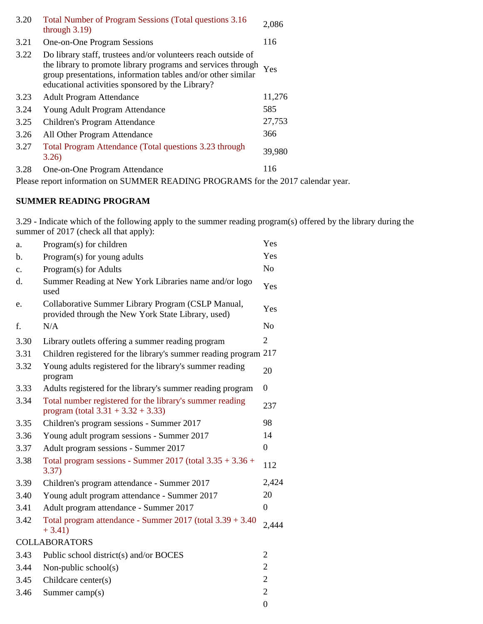| 3.20 | Total Number of Program Sessions (Total questions 3.16)<br>through $3.19$ )                                                                                                                                                                       | 2,086  |
|------|---------------------------------------------------------------------------------------------------------------------------------------------------------------------------------------------------------------------------------------------------|--------|
| 3.21 | One-on-One Program Sessions                                                                                                                                                                                                                       | 116    |
| 3.22 | Do library staff, trustees and/or volunteers reach outside of<br>the library to promote library programs and services through<br>group presentations, information tables and/or other similar<br>educational activities sponsored by the Library? | Yes    |
| 3.23 | <b>Adult Program Attendance</b>                                                                                                                                                                                                                   | 11,276 |
| 3.24 | Young Adult Program Attendance                                                                                                                                                                                                                    | 585    |
| 3.25 | Children's Program Attendance                                                                                                                                                                                                                     | 27,753 |
| 3.26 | All Other Program Attendance                                                                                                                                                                                                                      | 366    |
| 3.27 | Total Program Attendance (Total questions 3.23 through<br>3.26                                                                                                                                                                                    | 39,980 |
| 3.28 | One-on-One Program Attendance                                                                                                                                                                                                                     | 116    |
| $-1$ |                                                                                                                                                                                                                                                   |        |

Please report information on SUMMER READING PROGRAMS for the 2017 calendar year.

### **SUMMER READING PROGRAM**

3.29 - Indicate which of the following apply to the summer reading program(s) offered by the library during the summer of 2017 (check all that apply):

| a.            | Program(s) for children                                                                                  | Yes              |
|---------------|----------------------------------------------------------------------------------------------------------|------------------|
| b.            | Program(s) for young adults                                                                              | Yes              |
| $C_{\bullet}$ | Program(s) for Adults                                                                                    | N <sub>o</sub>   |
| d.            | Summer Reading at New York Libraries name and/or logo<br>used                                            | Yes              |
| e.            | Collaborative Summer Library Program (CSLP Manual,<br>provided through the New York State Library, used) | Yes              |
| f.            | N/A                                                                                                      | N <sub>o</sub>   |
| 3.30          | Library outlets offering a summer reading program                                                        | $\overline{2}$   |
| 3.31          | Children registered for the library's summer reading program 217                                         |                  |
| 3.32          | Young adults registered for the library's summer reading<br>program                                      | 20               |
| 3.33          | Adults registered for the library's summer reading program                                               | $\boldsymbol{0}$ |
| 3.34          | Total number registered for the library's summer reading<br>program (total $3.31 + 3.32 + 3.33$ )        | 237              |
| 3.35          | Children's program sessions - Summer 2017                                                                | 98               |
| 3.36          | Young adult program sessions - Summer 2017                                                               | 14               |
| 3.37          | Adult program sessions - Summer 2017                                                                     | $\boldsymbol{0}$ |
| 3.38          | Total program sessions - Summer 2017 (total $3.35 + 3.36 +$<br>3.37)                                     | 112              |
| 3.39          | Children's program attendance - Summer 2017                                                              | 2,424            |
| 3.40          | Young adult program attendance - Summer 2017                                                             | 20               |
| 3.41          | Adult program attendance - Summer 2017                                                                   | $\boldsymbol{0}$ |
| 3.42          | Total program attendance - Summer 2017 (total 3.39 + 3.40)<br>$+3.41)$                                   | 2,444            |
|               | <b>COLLABORATORS</b>                                                                                     |                  |
| 3.43          | Public school district(s) and/or BOCES                                                                   | $\overline{2}$   |
| 3.44          | Non-public school(s)                                                                                     | $\overline{2}$   |
| 3.45          | Childcare center(s)                                                                                      | $\overline{2}$   |
| 3.46          | Summer camp $(s)$                                                                                        | $\overline{2}$   |
|               |                                                                                                          | $\boldsymbol{0}$ |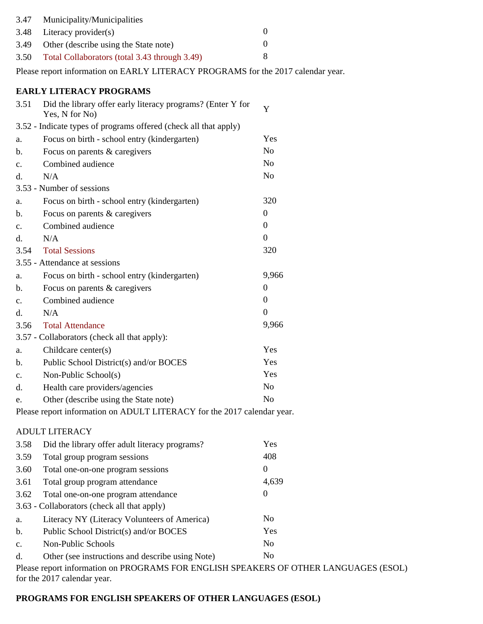| 3.47 | Municipality/Municipalities                   |  |
|------|-----------------------------------------------|--|
|      | $3.48$ Literacy provider(s)                   |  |
| 3.49 | Other (describe using the State note)         |  |
| 3.50 | Total Collaborators (total 3.43 through 3.49) |  |

Please report information on EARLY LITERACY PROGRAMS for the 2017 calendar year.

### **EARLY LITERACY PROGRAMS**

| 3.51                                                                    | Did the library offer early literacy programs? (Enter Y for<br>Yes, N for No) | Y                |
|-------------------------------------------------------------------------|-------------------------------------------------------------------------------|------------------|
|                                                                         | 3.52 - Indicate types of programs offered (check all that apply)              |                  |
| a.                                                                      | Focus on birth - school entry (kindergarten)                                  | Yes              |
| b.                                                                      | Focus on parents & caregivers                                                 | N <sub>o</sub>   |
| c.                                                                      | Combined audience                                                             | N <sub>0</sub>   |
| d.                                                                      | N/A                                                                           | N <sub>o</sub>   |
|                                                                         | 3.53 - Number of sessions                                                     |                  |
| a.                                                                      | Focus on birth - school entry (kindergarten)                                  | 320              |
| b.                                                                      | Focus on parents & caregivers                                                 | $\boldsymbol{0}$ |
| $C_{\bullet}$                                                           | Combined audience                                                             | $\boldsymbol{0}$ |
| d.                                                                      | N/A                                                                           | $\boldsymbol{0}$ |
| 3.54                                                                    | <b>Total Sessions</b>                                                         | 320              |
|                                                                         | 3.55 - Attendance at sessions                                                 |                  |
| a.                                                                      | Focus on birth - school entry (kindergarten)                                  | 9,966            |
| b.                                                                      | Focus on parents & caregivers                                                 | $\boldsymbol{0}$ |
| $\mathbf{c}$ .                                                          | Combined audience                                                             | $\boldsymbol{0}$ |
| d.                                                                      | N/A                                                                           | $\boldsymbol{0}$ |
| 3.56                                                                    | <b>Total Attendance</b>                                                       | 9,966            |
|                                                                         | 3.57 - Collaborators (check all that apply):                                  |                  |
| a.                                                                      | Childcare center(s)                                                           | Yes              |
| b.                                                                      | Public School District(s) and/or BOCES                                        | Yes              |
| $\mathbf{c}$ .                                                          | Non-Public School(s)                                                          | Yes              |
| d.                                                                      | Health care providers/agencies                                                | No               |
| e.                                                                      | Other (describe using the State note)                                         | N <sub>o</sub>   |
| Please report information on ADULT LITERACY for the 2017 calendar year. |                                                                               |                  |

#### ADULT LITERACY

| 3.58                                                                                 | Did the library offer adult literacy programs?   | Yes            |
|--------------------------------------------------------------------------------------|--------------------------------------------------|----------------|
| 3.59                                                                                 | Total group program sessions                     | 408            |
| 3.60                                                                                 | Total one-on-one program sessions                | 0              |
| 3.61                                                                                 | Total group program attendance                   | 4,639          |
| 3.62                                                                                 | Total one-on-one program attendance              | 0              |
|                                                                                      | 3.63 - Collaborators (check all that apply)      |                |
| a.                                                                                   | Literacy NY (Literacy Volunteers of America)     | N <sub>0</sub> |
| $\mathbf b$ .                                                                        | Public School District(s) and/or BOCES           | Yes            |
| C <sub>1</sub>                                                                       | Non-Public Schools                               | N <sub>0</sub> |
| d.                                                                                   | Other (see instructions and describe using Note) | N <sub>0</sub> |
| Please report information on PROGRAMS FOR ENGLISH SPEAKERS OF OTHER LANGUAGES (ESOL) |                                                  |                |

for the 2017 calendar year.

### **PROGRAMS FOR ENGLISH SPEAKERS OF OTHER LANGUAGES (ESOL)**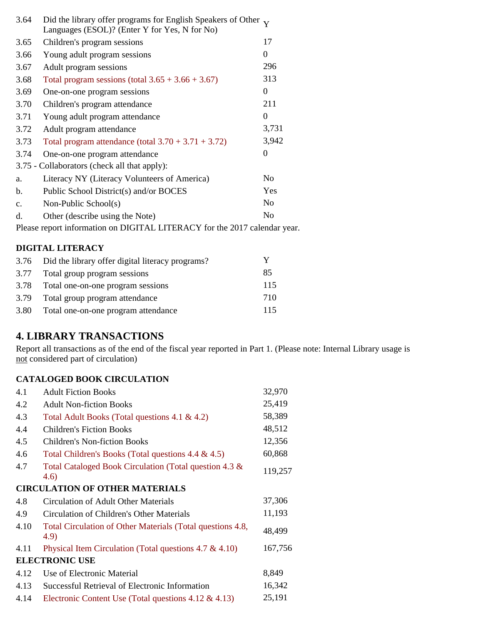| 3.64          | Did the library offer programs for English Speakers of Other $\mathbf v$<br>Languages (ESOL)? (Enter Y for Yes, N for No) |                  |
|---------------|---------------------------------------------------------------------------------------------------------------------------|------------------|
| 3.65          | Children's program sessions                                                                                               | 17               |
| 3.66          | Young adult program sessions                                                                                              | $\mathbf{0}$     |
| 3.67          | Adult program sessions                                                                                                    | 296              |
| 3.68          | Total program sessions (total $3.65 + 3.66 + 3.67$ )                                                                      | 313              |
| 3.69          | One-on-one program sessions                                                                                               | $\overline{0}$   |
| 3.70          | Children's program attendance                                                                                             | 211              |
| 3.71          | Young adult program attendance                                                                                            | $\boldsymbol{0}$ |
| 3.72          | Adult program attendance                                                                                                  | 3,731            |
| 3.73          | Total program attendance (total $3.70 + 3.71 + 3.72$ )                                                                    | 3,942            |
| 3.74          | One-on-one program attendance                                                                                             | $\boldsymbol{0}$ |
|               | 3.75 - Collaborators (check all that apply):                                                                              |                  |
| a.            | Literacy NY (Literacy Volunteers of America)                                                                              | N <sub>o</sub>   |
| b.            | Public School District(s) and/or BOCES                                                                                    | Yes              |
| $C_{\bullet}$ | Non-Public School(s)                                                                                                      | N <sub>o</sub>   |
| d.            | Other (describe using the Note)                                                                                           | N <sub>0</sub>   |
|               | Please report information on DIGITAL LITERACY for the 2017 calendar year.                                                 |                  |

#### **DIGITAL LITERACY**

| 3.76 | Did the library offer digital literacy programs? |     |
|------|--------------------------------------------------|-----|
| 3.77 | Total group program sessions                     | 85  |
| 3.78 | Total one-on-one program sessions                | 115 |
| 3.79 | Total group program attendance                   | 710 |
| 3.80 | Total one-on-one program attendance              | 115 |

## **4. LIBRARY TRANSACTIONS**

Report all transactions as of the end of the fiscal year reported in Part 1. (Please note: Internal Library usage is not considered part of circulation)

### **CATALOGED BOOK CIRCULATION**

| 4.1  | <b>Adult Fiction Books</b>                                        | 32,970  |
|------|-------------------------------------------------------------------|---------|
| 4.2  | <b>Adult Non-fiction Books</b>                                    | 25,419  |
| 4.3  | Total Adult Books (Total questions 4.1 & 4.2)                     | 58,389  |
| 4.4  | <b>Children's Fiction Books</b>                                   | 48,512  |
| 4.5  | <b>Children's Non-fiction Books</b>                               | 12,356  |
| 4.6  | Total Children's Books (Total questions 4.4 & 4.5)                | 60,868  |
| 4.7  | Total Cataloged Book Circulation (Total question 4.3 &<br>(4.6)   | 119,257 |
|      | <b>CIRCULATION OF OTHER MATERIALS</b>                             |         |
| 4.8  | <b>Circulation of Adult Other Materials</b>                       | 37,306  |
| 4.9  | Circulation of Children's Other Materials                         | 11,193  |
| 4.10 | Total Circulation of Other Materials (Total questions 4.8,<br>4.9 | 48,499  |
| 4.11 | Physical Item Circulation (Total questions $4.7 \& 4.10$ )        | 167,756 |
|      | <b>ELECTRONIC USE</b>                                             |         |
| 4.12 | Use of Electronic Material                                        | 8,849   |
| 4.13 | Successful Retrieval of Electronic Information                    | 16,342  |
| 4.14 | Electronic Content Use (Total questions $4.12 \& 4.13$ )          | 25,191  |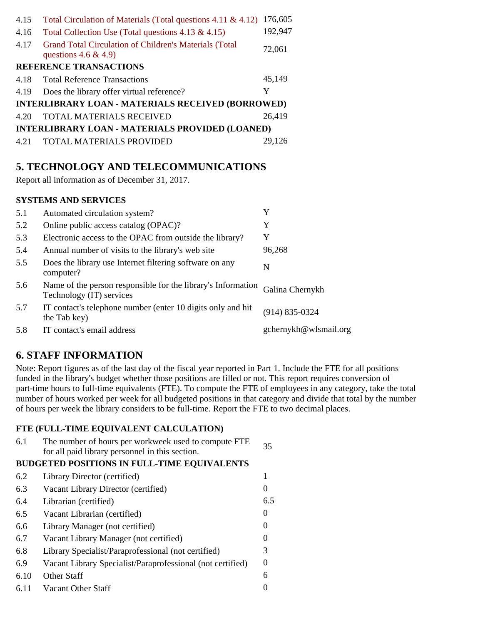| 4.15                                                   | Total Circulation of Materials (Total questions 4.11 & 4.12)                          | 176,605 |
|--------------------------------------------------------|---------------------------------------------------------------------------------------|---------|
| 4.16                                                   | Total Collection Use (Total questions $4.13 \& 4.15$ )                                | 192,947 |
|                                                        | 4.17 Grand Total Circulation of Children's Materials (Total<br>questions $4.6 \& 4.9$ | 72,061  |
|                                                        | <b>REFERENCE TRANSACTIONS</b>                                                         |         |
| 4.18                                                   | <b>Total Reference Transactions</b>                                                   | 45,149  |
| 4.19                                                   | Does the library offer virtual reference?                                             | Y       |
| INTERLIBRARY LOAN - MATERIALS RECEIVED (BORROWED)      |                                                                                       |         |
| 4.20                                                   | <b>TOTAL MATERIALS RECEIVED</b>                                                       | 26,419  |
| <b>INTERLIBRARY LOAN - MATERIALS PROVIDED (LOANED)</b> |                                                                                       |         |
| 4.21                                                   | TOTAL MATERIALS PROVIDED                                                              | 29,126  |

### **5. TECHNOLOGY AND TELECOMMUNICATIONS**

Report all information as of December 31, 2017.

#### **SYSTEMS AND SERVICES**

| 5.1 | Automated circulation system?                                                            | Y                     |
|-----|------------------------------------------------------------------------------------------|-----------------------|
| 5.2 | Online public access catalog (OPAC)?                                                     | Y                     |
| 5.3 | Electronic access to the OPAC from outside the library?                                  | Y                     |
| 5.4 | Annual number of visits to the library's web site                                        | 96,268                |
| 5.5 | Does the library use Internet filtering software on any<br>computer?                     | N                     |
| 5.6 | Name of the person responsible for the library's Information<br>Technology (IT) services | Galina Chernykh       |
| 5.7 | IT contact's telephone number (enter 10 digits only and hit<br>the Tab key)              | $(914) 835 - 0324$    |
| 5.8 | IT contact's email address                                                               | gchernykh@wlsmail.org |

### **6. STAFF INFORMATION**

Note: Report figures as of the last day of the fiscal year reported in Part 1. Include the FTE for all positions funded in the library's budget whether those positions are filled or not. This report requires conversion of part-time hours to full-time equivalents (FTE). To compute the FTE of employees in any category, take the total number of hours worked per week for all budgeted positions in that category and divide that total by the number of hours per week the library considers to be full-time. Report the FTE to two decimal places.

#### **FTE (FULL-TIME EQUIVALENT CALCULATION)**

| 6.1  | The number of hours per workweek used to compute FTE<br>for all paid library personnel in this section. | 35                |
|------|---------------------------------------------------------------------------------------------------------|-------------------|
|      | <b>BUDGETED POSITIONS IN FULL-TIME EQUIVALENTS</b>                                                      |                   |
| 6.2  | Library Director (certified)                                                                            |                   |
| 6.3  | Vacant Library Director (certified)                                                                     | $\theta$          |
| 6.4  | Librarian (certified)                                                                                   | 6.5               |
| 6.5  | Vacant Librarian (certified)                                                                            | 0                 |
| 6.6  | Library Manager (not certified)                                                                         | 0                 |
| 6.7  | Vacant Library Manager (not certified)                                                                  | $\mathbf{0}$      |
| 6.8  | Library Specialist/Paraprofessional (not certified)                                                     | 3                 |
| 6.9  | Vacant Library Specialist/Paraprofessional (not certified)                                              | $\mathbf{\Omega}$ |
| 6.10 | Other Staff                                                                                             | 6                 |
| 6.11 | Vacant Other Staff                                                                                      |                   |
|      |                                                                                                         |                   |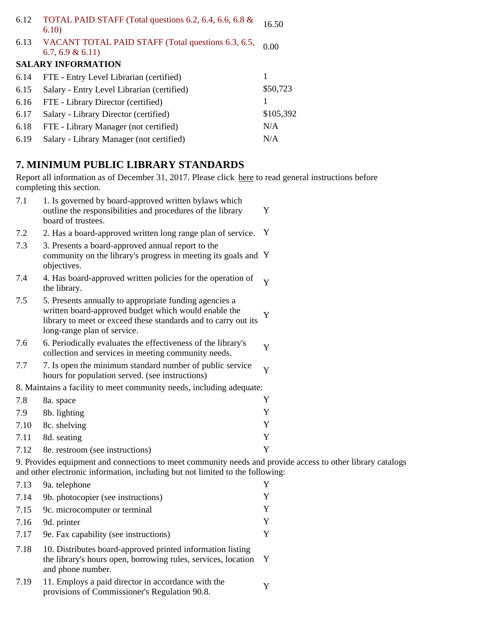| 6.12 | TOTAL PAID STAFF (Total questions 6.2, 6.4, 6.6, 6.8 &<br>6.10)          | 16.50     |
|------|--------------------------------------------------------------------------|-----------|
| 6.13 | VACANT TOTAL PAID STAFF (Total questions 6.3, 6.5,<br>$6.7, 6.9 \& 6.11$ | 0.00      |
|      | <b>SALARY INFORMATION</b>                                                |           |
| 6.14 | FTE - Entry Level Librarian (certified)                                  |           |
| 6.15 | Salary - Entry Level Librarian (certified)                               | \$50,723  |
| 6.16 | FTE - Library Director (certified)                                       |           |
| 6.17 | Salary - Library Director (certified)                                    | \$105,392 |
| 6.18 | FTE - Library Manager (not certified)                                    | N/A       |
| 6.19 | Salary - Library Manager (not certified)                                 | N/A       |

# **7. MINIMUM PUBLIC LIBRARY STANDARDS**

Report all information as of December 31, 2017. Please click here to read general instructions before completing this section.

| 7.1  | 1. Is governed by board-approved written bylaws which<br>outline the responsibilities and procedures of the library<br>board of trustees.                                                                       | Y |
|------|-----------------------------------------------------------------------------------------------------------------------------------------------------------------------------------------------------------------|---|
| 7.2  | 2. Has a board-approved written long range plan of service.                                                                                                                                                     | Y |
| 7.3  | 3. Presents a board-approved annual report to the<br>community on the library's progress in meeting its goals and Y<br>objectives.                                                                              |   |
| 7.4  | 4. Has board-approved written policies for the operation of<br>the library.                                                                                                                                     | Y |
| 7.5  | 5. Presents annually to appropriate funding agencies a<br>written board-approved budget which would enable the<br>library to meet or exceed these standards and to carry out its<br>long-range plan of service. | Y |
| 7.6  | 6. Periodically evaluates the effectiveness of the library's<br>collection and services in meeting community needs.                                                                                             | Y |
| 7.7  | 7. Is open the minimum standard number of public service<br>hours for population served. (see instructions)                                                                                                     | Y |
|      | 8. Maintains a facility to meet community needs, including adequate:                                                                                                                                            |   |
| 7.8  | 8a. space                                                                                                                                                                                                       | Y |
| 7.9  | 8b. lighting                                                                                                                                                                                                    | Y |
| 7.10 | 8c. shelving                                                                                                                                                                                                    | Y |
| 7.11 | 8d. seating                                                                                                                                                                                                     | Y |
| 7.12 | 8e. restroom (see instructions)                                                                                                                                                                                 | Y |

9. Provides equipment and connections to meet community needs and provide access to other library catalogs and other electronic information, including but not limited to the following:

| 7.13 | 9a. telephone                                                                                                                                    |              |
|------|--------------------------------------------------------------------------------------------------------------------------------------------------|--------------|
| 7.14 | 9b. photocopier (see instructions)                                                                                                               | Y            |
| 7.15 | 9c. microcomputer or terminal                                                                                                                    | Y            |
| 7.16 | 9d. printer                                                                                                                                      | Y            |
| 7.17 | 9e. Fax capability (see instructions)                                                                                                            | Y            |
| 7.18 | 10. Distributes board-approved printed information listing<br>the library's hours open, borrowing rules, services, location<br>and phone number. | $\mathbf{Y}$ |
| 7.19 | 11. Employs a paid director in accordance with the<br>provisions of Commissioner's Regulation 90.8.                                              |              |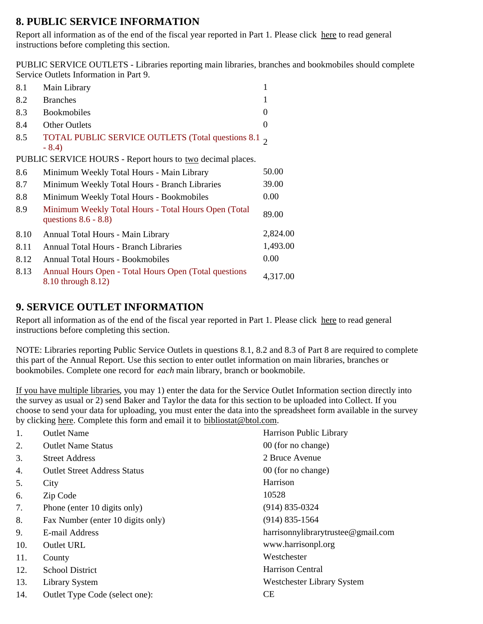## **8. PUBLIC SERVICE INFORMATION**

Report all information as of the end of the fiscal year reported in Part 1. Please click here to read general instructions before completing this section.

PUBLIC SERVICE OUTLETS - Libraries reporting main libraries, branches and bookmobiles should complete Service Outlets Information in Part 9.

| 8.1  | Main Library                                                                    | 1              |
|------|---------------------------------------------------------------------------------|----------------|
| 8.2  | <b>Branches</b>                                                                 |                |
| 8.3  | <b>Bookmobiles</b>                                                              | 0              |
| 8.4  | <b>Other Outlets</b>                                                            | $\overline{0}$ |
| 8.5  | TOTAL PUBLIC SERVICE OUTLETS (Total questions 8.1 $\sigma$ )<br>$-8.4$          |                |
|      | PUBLIC SERVICE HOURS - Report hours to two decimal places.                      |                |
| 8.6  | Minimum Weekly Total Hours - Main Library                                       | 50.00          |
| 8.7  | Minimum Weekly Total Hours - Branch Libraries                                   | 39.00          |
| 8.8  | Minimum Weekly Total Hours - Bookmobiles                                        | 0.00           |
| 8.9  | Minimum Weekly Total Hours - Total Hours Open (Total<br>questions $8.6 - 8.8$ ) | 89.00          |
| 8.10 | Annual Total Hours - Main Library                                               | 2,824.00       |
| 8.11 | <b>Annual Total Hours - Branch Libraries</b>                                    | 1,493.00       |
| 8.12 | Annual Total Hours - Bookmobiles                                                | 0.00           |
| 8.13 | Annual Hours Open - Total Hours Open (Total questions)<br>8.10 through 8.12)    | 4,317.00       |

## **9. SERVICE OUTLET INFORMATION**

Report all information as of the end of the fiscal year reported in Part 1. Please click here to read general instructions before completing this section.

NOTE: Libraries reporting Public Service Outlets in questions 8.1, 8.2 and 8.3 of Part 8 are required to complete this part of the Annual Report. Use this section to enter outlet information on main libraries, branches or bookmobiles. Complete one record for *each* main library, branch or bookmobile.

If you have multiple libraries, you may 1) enter the data for the Service Outlet Information section directly into the survey as usual or 2) send Baker and Taylor the data for this section to be uploaded into Collect. If you choose to send your data for uploading, you must enter the data into the spreadsheet form available in the survey by clicking here. Complete this form and email it to bibliostat@btol.com.

| 1.  | <b>Outlet Name</b>                  | Harrison Public Library            |
|-----|-------------------------------------|------------------------------------|
| 2.  | <b>Outlet Name Status</b>           | 00 (for no change)                 |
| 3.  | <b>Street Address</b>               | 2 Bruce Avenue                     |
| 4.  | <b>Outlet Street Address Status</b> | 00 (for no change)                 |
| 5.  | City                                | Harrison                           |
| 6.  | Zip Code                            | 10528                              |
| 7.  | Phone (enter 10 digits only)        | $(914) 835 - 0324$                 |
| 8.  | Fax Number (enter 10 digits only)   | $(914)$ 835-1564                   |
| 9.  | E-mail Address                      | harrisonnylibrarytrustee@gmail.com |
| 10. | Outlet URL                          | www.harrisonpl.org                 |
| 11. | County                              | Westchester                        |
| 12. | <b>School District</b>              | Harrison Central                   |
| 13. | <b>Library System</b>               | Westchester Library System         |
| 14. | Outlet Type Code (select one):      | <b>CE</b>                          |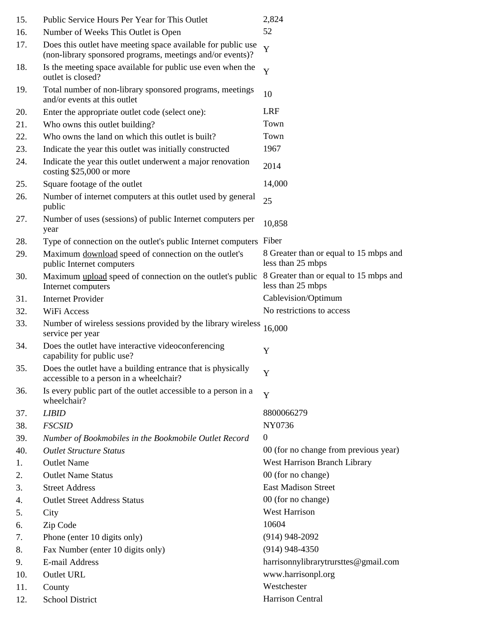| 15. | Public Service Hours Per Year for This Outlet                                                                             | 2,824                                                       |
|-----|---------------------------------------------------------------------------------------------------------------------------|-------------------------------------------------------------|
| 16. | Number of Weeks This Outlet is Open                                                                                       | 52                                                          |
| 17. | Does this outlet have meeting space available for public use<br>(non-library sponsored programs, meetings and/or events)? | Y                                                           |
| 18. | Is the meeting space available for public use even when the<br>outlet is closed?                                          | Y                                                           |
| 19. | Total number of non-library sponsored programs, meetings<br>and/or events at this outlet                                  | 10                                                          |
| 20. | Enter the appropriate outlet code (select one):                                                                           | <b>LRF</b>                                                  |
| 21. | Who owns this outlet building?                                                                                            | Town                                                        |
| 22. | Who owns the land on which this outlet is built?                                                                          | Town                                                        |
| 23. | Indicate the year this outlet was initially constructed                                                                   | 1967                                                        |
| 24. | Indicate the year this outlet underwent a major renovation<br>costing \$25,000 or more                                    | 2014                                                        |
| 25. | Square footage of the outlet                                                                                              | 14,000                                                      |
| 26. | Number of internet computers at this outlet used by general<br>public                                                     | 25                                                          |
| 27. | Number of uses (sessions) of public Internet computers per<br>year                                                        | 10,858                                                      |
| 28. | Type of connection on the outlet's public Internet computers                                                              | Fiber                                                       |
| 29. | Maximum download speed of connection on the outlet's<br>public Internet computers                                         | 8 Greater than or equal to 15 mbps and<br>less than 25 mbps |
| 30. | Maximum upload speed of connection on the outlet's public<br>Internet computers                                           | 8 Greater than or equal to 15 mbps and<br>less than 25 mbps |
| 31. | <b>Internet Provider</b>                                                                                                  | Cablevision/Optimum                                         |
| 32. | WiFi Access                                                                                                               | No restrictions to access                                   |
| 33. | Number of wireless sessions provided by the library wireless<br>service per year                                          | 16,000                                                      |
| 34. | Does the outlet have interactive videoconferencing<br>capability for public use?                                          | Y                                                           |
| 35. | Does the outlet have a building entrance that is physically<br>accessible to a person in a wheelchair?                    | Y                                                           |
| 36. | Is every public part of the outlet accessible to a person in a<br>wheelchair?                                             | Y                                                           |
| 37. | <b>LIBID</b>                                                                                                              | 8800066279                                                  |
| 38. | <b>FSCSID</b>                                                                                                             | NY0736                                                      |
| 39. | Number of Bookmobiles in the Bookmobile Outlet Record                                                                     | $\mathbf{0}$                                                |
| 40. | <b>Outlet Structure Status</b>                                                                                            | 00 (for no change from previous year)                       |
| 1.  | <b>Outlet Name</b>                                                                                                        | West Harrison Branch Library                                |
| 2.  | <b>Outlet Name Status</b>                                                                                                 | 00 (for no change)                                          |
| 3.  | <b>Street Address</b>                                                                                                     | <b>East Madison Street</b>                                  |
| 4.  | <b>Outlet Street Address Status</b>                                                                                       | 00 (for no change)                                          |
| 5.  | City                                                                                                                      | <b>West Harrison</b>                                        |
| 6.  | Zip Code                                                                                                                  | 10604                                                       |
| 7.  | Phone (enter 10 digits only)                                                                                              | $(914)$ 948-2092                                            |
| 8.  | Fax Number (enter 10 digits only)                                                                                         | $(914)$ 948-4350                                            |
| 9.  | E-mail Address                                                                                                            | harrisonnylibrarytrursttes@gmail.com                        |
| 10. | <b>Outlet URL</b>                                                                                                         | www.harrisonpl.org                                          |
| 11. | County                                                                                                                    | Westchester                                                 |
| 12. | <b>School District</b>                                                                                                    | Harrison Central                                            |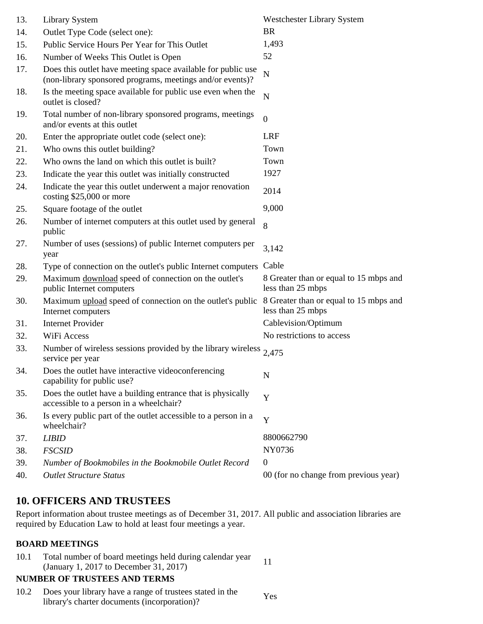| 13. | <b>Library System</b>                                                                                                     | <b>Westchester Library System</b>                           |
|-----|---------------------------------------------------------------------------------------------------------------------------|-------------------------------------------------------------|
| 14. | Outlet Type Code (select one):                                                                                            | <b>BR</b>                                                   |
| 15. | Public Service Hours Per Year for This Outlet                                                                             | 1,493                                                       |
| 16. | Number of Weeks This Outlet is Open                                                                                       | 52                                                          |
| 17. | Does this outlet have meeting space available for public use<br>(non-library sponsored programs, meetings and/or events)? | N                                                           |
| 18. | Is the meeting space available for public use even when the<br>outlet is closed?                                          | N                                                           |
| 19. | Total number of non-library sponsored programs, meetings<br>and/or events at this outlet                                  | $\overline{0}$                                              |
| 20. | Enter the appropriate outlet code (select one):                                                                           | <b>LRF</b>                                                  |
| 21. | Who owns this outlet building?                                                                                            | Town                                                        |
| 22. | Who owns the land on which this outlet is built?                                                                          | Town                                                        |
| 23. | Indicate the year this outlet was initially constructed                                                                   | 1927                                                        |
| 24. | Indicate the year this outlet underwent a major renovation<br>costing \$25,000 or more                                    | 2014                                                        |
| 25. | Square footage of the outlet                                                                                              | 9,000                                                       |
| 26. | Number of internet computers at this outlet used by general<br>public                                                     | 8                                                           |
| 27. | Number of uses (sessions) of public Internet computers per<br>year                                                        | 3,142                                                       |
| 28. | Type of connection on the outlet's public Internet computers                                                              | Cable                                                       |
| 29. | Maximum download speed of connection on the outlet's<br>public Internet computers                                         | 8 Greater than or equal to 15 mbps and<br>less than 25 mbps |
| 30. | Maximum upload speed of connection on the outlet's public<br>Internet computers                                           | 8 Greater than or equal to 15 mbps and<br>less than 25 mbps |
| 31. | <b>Internet Provider</b>                                                                                                  | Cablevision/Optimum                                         |
| 32. | WiFi Access                                                                                                               | No restrictions to access                                   |
| 33. | Number of wireless sessions provided by the library wireless $2,475$<br>service per year                                  |                                                             |
| 34. | Does the outlet have interactive videoconferencing<br>capability for public use?                                          | N                                                           |
| 35. | Does the outlet have a building entrance that is physically<br>accessible to a person in a wheelchair?                    | Y                                                           |
| 36. | Is every public part of the outlet accessible to a person in a<br>wheelchair?                                             | Y                                                           |
| 37. | <b>LIBID</b>                                                                                                              | 8800662790                                                  |
| 38. | <b>FSCSID</b>                                                                                                             | NY0736                                                      |
| 39. | Number of Bookmobiles in the Bookmobile Outlet Record                                                                     | $\boldsymbol{0}$                                            |
| 40. | <b>Outlet Structure Status</b>                                                                                            | 00 (for no change from previous year)                       |

### **10. OFFICERS AND TRUSTEES**

Report information about trustee meetings as of December 31, 2017. All public and association libraries are required by Education Law to hold at least four meetings a year.

#### **BOARD MEETINGS**

10.1 Total number of board meetings held during calendar year (January 1, 2017 to December 31, 2017)

### **NUMBER OF TRUSTEES AND TERMS**

10.2 Does your library have a range of trustees stated in the Yes library's charter documents (incorporation)?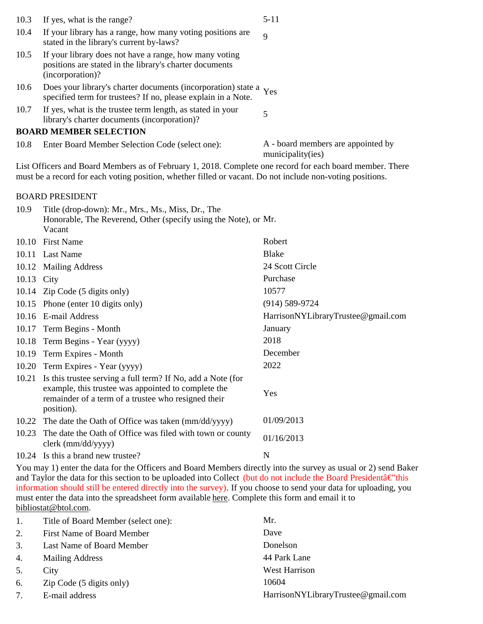| 10.3 | If yes, what is the range?                                                                                                            | $5 - 11$                           |
|------|---------------------------------------------------------------------------------------------------------------------------------------|------------------------------------|
| 10.4 | If your library has a range, how many voting positions are<br>stated in the library's current by-laws?                                | $\mathbf Q$                        |
| 10.5 | If your library does not have a range, how many voting<br>positions are stated in the library's charter documents<br>(incorporation)? |                                    |
| 10.6 | Does your library's charter documents (incorporation) state a Yes<br>specified term for trustees? If no, please explain in a Note.    |                                    |
| 10.7 | If yes, what is the trustee term length, as stated in your<br>library's charter documents (incorporation)?                            |                                    |
|      | <b>BOARD MEMBER SELECTION</b>                                                                                                         |                                    |
| 10.8 | Enter Board Member Selection Code (select one):                                                                                       | A - board members are appointed by |

municipality(ies)

List Officers and Board Members as of February 1, 2018. Complete one record for each board member. There must be a record for each voting position, whether filled or vacant. Do not include non-voting positions.

#### BOARD PRESIDENT

| 10.9       | Title (drop-down): Mr., Mrs., Ms., Miss, Dr., The<br>Honorable, The Reverend, Other (specify using the Note), or Mr.<br>Vacant                                                          |                                    |
|------------|-----------------------------------------------------------------------------------------------------------------------------------------------------------------------------------------|------------------------------------|
| 10.10      | <b>First Name</b>                                                                                                                                                                       | Robert                             |
| 10.11      | <b>Last Name</b>                                                                                                                                                                        | <b>Blake</b>                       |
| 10.12      | <b>Mailing Address</b>                                                                                                                                                                  | 24 Scott Circle                    |
| 10.13 City |                                                                                                                                                                                         | Purchase                           |
|            | 10.14 Zip Code (5 digits only)                                                                                                                                                          | 10577                              |
|            | 10.15 Phone (enter 10 digits only)                                                                                                                                                      | $(914) 589 - 9724$                 |
| 10.16      | E-mail Address                                                                                                                                                                          | HarrisonNYLibraryTrustee@gmail.com |
| 10.17      | Term Begins - Month                                                                                                                                                                     | January                            |
| 10.18      | Term Begins - Year (yyyy)                                                                                                                                                               | 2018                               |
| 10.19      | Term Expires - Month                                                                                                                                                                    | December                           |
| 10.20      | Term Expires - Year (yyyy)                                                                                                                                                              | 2022                               |
| 10.21      | Is this trustee serving a full term? If No, add a Note (for<br>example, this trustee was appointed to complete the<br>remainder of a term of a trustee who resigned their<br>position). | Yes                                |
| 10.22      | The date the Oath of Office was taken (mm/dd/yyyy)                                                                                                                                      | 01/09/2013                         |
| 10.23      | The date the Oath of Office was filed with town or county<br>clerk (mm/dd/yyyy)                                                                                                         | 01/16/2013                         |
|            | 10.24 Is this a brand new trustee?                                                                                                                                                      | N                                  |
|            |                                                                                                                                                                                         |                                    |

You may 1) enter the data for the Officers and Board Members directly into the survey as usual or 2) send Baker and Taylor the data for this section to be uploaded into Collect (but do not include the Board President $\hat{a} \in \hat{a}$ this information should still be entered directly into the survey). If you choose to send your data for uploading, you must enter the data into the spreadsheet form available here. Complete this form and email it to bibliostat@btol.com.

| 1. | Title of Board Member (select one): | Mr.                                |
|----|-------------------------------------|------------------------------------|
| 2. | First Name of Board Member          | Dave                               |
| 3. | Last Name of Board Member           | Donelson                           |
| 4. | <b>Mailing Address</b>              | 44 Park Lane                       |
| 5. | City                                | <b>West Harrison</b>               |
| 6. | Zip Code (5 digits only)            | 10604                              |
| 7. | E-mail address                      | HarrisonNYLibraryTrustee@gmail.com |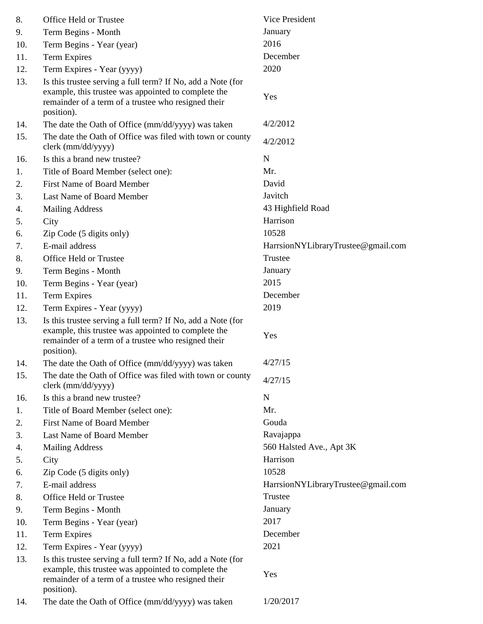| 8.  | Office Held or Trustee                                                                                                                                                                  | Vice President                     |
|-----|-----------------------------------------------------------------------------------------------------------------------------------------------------------------------------------------|------------------------------------|
| 9.  | Term Begins - Month                                                                                                                                                                     | January                            |
| 10. | Term Begins - Year (year)                                                                                                                                                               | 2016                               |
| 11. | <b>Term Expires</b>                                                                                                                                                                     | December                           |
| 12. | Term Expires - Year (yyyy)                                                                                                                                                              | 2020                               |
| 13. | Is this trustee serving a full term? If No, add a Note (for<br>example, this trustee was appointed to complete the<br>remainder of a term of a trustee who resigned their<br>position). | Yes                                |
| 14. | The date the Oath of Office (mm/dd/yyyy) was taken                                                                                                                                      | 4/2/2012                           |
| 15. | The date the Oath of Office was filed with town or county<br>clerk (mm/dd/yyyy)                                                                                                         | 4/2/2012                           |
| 16. | Is this a brand new trustee?                                                                                                                                                            | N                                  |
| 1.  | Title of Board Member (select one):                                                                                                                                                     | Mr.                                |
| 2.  | <b>First Name of Board Member</b>                                                                                                                                                       | David                              |
| 3.  | Last Name of Board Member                                                                                                                                                               | Javitch                            |
| 4.  | <b>Mailing Address</b>                                                                                                                                                                  | 43 Highfield Road                  |
| 5.  | City                                                                                                                                                                                    | Harrison                           |
| 6.  | Zip Code (5 digits only)                                                                                                                                                                | 10528                              |
| 7.  | E-mail address                                                                                                                                                                          | HarrsionNYLibraryTrustee@gmail.com |
| 8.  | Office Held or Trustee                                                                                                                                                                  | Trustee                            |
| 9.  | Term Begins - Month                                                                                                                                                                     | January                            |
| 10. | Term Begins - Year (year)                                                                                                                                                               | 2015                               |
| 11. | <b>Term Expires</b>                                                                                                                                                                     | December                           |
| 12. | Term Expires - Year (yyyy)                                                                                                                                                              | 2019                               |
| 13. | Is this trustee serving a full term? If No, add a Note (for<br>example, this trustee was appointed to complete the<br>remainder of a term of a trustee who resigned their<br>position). | Yes                                |
| 14. | The date the Oath of Office (mm/dd/yyyy) was taken                                                                                                                                      | 4/27/15                            |
| 15. | The date the Oath of Office was filed with town or county<br>clerk (mm/dd/yyyy)                                                                                                         | 4/27/15                            |
| 16. | Is this a brand new trustee?                                                                                                                                                            | N                                  |
| 1.  | Title of Board Member (select one):                                                                                                                                                     | Mr.                                |
| 2.  | First Name of Board Member                                                                                                                                                              | Gouda                              |
| 3.  | Last Name of Board Member                                                                                                                                                               | Ravajappa                          |
| 4.  | <b>Mailing Address</b>                                                                                                                                                                  | 560 Halsted Ave., Apt 3K           |
| 5.  | City                                                                                                                                                                                    | Harrison                           |
| 6.  | Zip Code (5 digits only)                                                                                                                                                                | 10528                              |
| 7.  | E-mail address                                                                                                                                                                          | HarrsionNYLibraryTrustee@gmail.com |
| 8.  | Office Held or Trustee                                                                                                                                                                  | Trustee                            |
| 9.  | Term Begins - Month                                                                                                                                                                     | January                            |
| 10. | Term Begins - Year (year)                                                                                                                                                               | 2017                               |
| 11. | <b>Term Expires</b>                                                                                                                                                                     | December                           |
| 12. | Term Expires - Year (yyyy)                                                                                                                                                              | 2021                               |
| 13. | Is this trustee serving a full term? If No, add a Note (for<br>example, this trustee was appointed to complete the<br>remainder of a term of a trustee who resigned their<br>position). | Yes                                |
| 14. | The date the Oath of Office (mm/dd/yyyy) was taken                                                                                                                                      | 1/20/2017                          |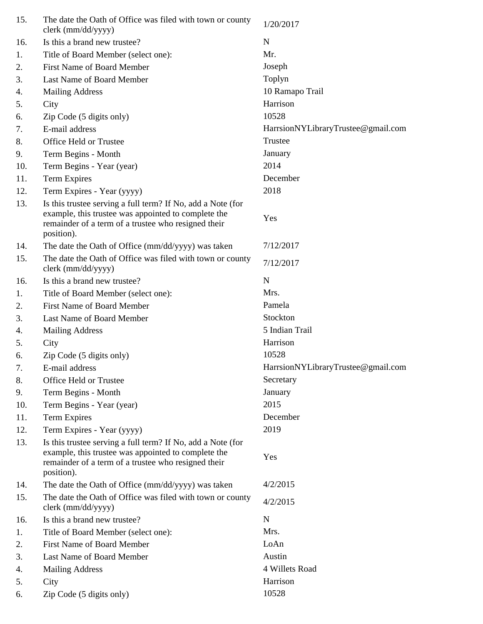| 15. | The date the Oath of Office was filed with town or county<br>clerk (mm/dd/yyyy)                                                                                                         | 1/20/2017                          |
|-----|-----------------------------------------------------------------------------------------------------------------------------------------------------------------------------------------|------------------------------------|
| 16. | Is this a brand new trustee?                                                                                                                                                            | N                                  |
| 1.  | Title of Board Member (select one):                                                                                                                                                     | Mr.                                |
| 2.  | <b>First Name of Board Member</b>                                                                                                                                                       | Joseph                             |
| 3.  | Last Name of Board Member                                                                                                                                                               | Toplyn                             |
| 4.  | <b>Mailing Address</b>                                                                                                                                                                  | 10 Ramapo Trail                    |
| 5.  | City                                                                                                                                                                                    | Harrison                           |
| 6.  | Zip Code (5 digits only)                                                                                                                                                                | 10528                              |
| 7.  | E-mail address                                                                                                                                                                          | HarrsionNYLibraryTrustee@gmail.com |
| 8.  | Office Held or Trustee                                                                                                                                                                  | Trustee                            |
| 9.  | Term Begins - Month                                                                                                                                                                     | January                            |
| 10. | Term Begins - Year (year)                                                                                                                                                               | 2014                               |
| 11. | <b>Term Expires</b>                                                                                                                                                                     | December                           |
| 12. | Term Expires - Year (yyyy)                                                                                                                                                              | 2018                               |
| 13. | Is this trustee serving a full term? If No, add a Note (for                                                                                                                             |                                    |
|     | example, this trustee was appointed to complete the<br>remainder of a term of a trustee who resigned their<br>position).                                                                | Yes                                |
| 14. | The date the Oath of Office (mm/dd/yyyy) was taken                                                                                                                                      | 7/12/2017                          |
| 15. | The date the Oath of Office was filed with town or county<br>clerk (mm/dd/yyyy)                                                                                                         | 7/12/2017                          |
| 16. | Is this a brand new trustee?                                                                                                                                                            | N                                  |
| 1.  | Title of Board Member (select one):                                                                                                                                                     | Mrs.                               |
| 2.  | <b>First Name of Board Member</b>                                                                                                                                                       | Pamela                             |
| 3.  | Last Name of Board Member                                                                                                                                                               | Stockton                           |
| 4.  | <b>Mailing Address</b>                                                                                                                                                                  | 5 Indian Trail                     |
| 5.  | City                                                                                                                                                                                    | Harrison                           |
| 6.  | Zip Code (5 digits only)                                                                                                                                                                | 10528                              |
| 7.  | E-mail address                                                                                                                                                                          | HarrsionNYLibraryTrustee@gmail.com |
| 8.  | Office Held or Trustee                                                                                                                                                                  | Secretary                          |
| 9.  | Term Begins - Month                                                                                                                                                                     | January                            |
| 10. | Term Begins - Year (year)                                                                                                                                                               | 2015                               |
| 11. | <b>Term Expires</b>                                                                                                                                                                     | December                           |
| 12. | Term Expires - Year (yyyy)                                                                                                                                                              | 2019                               |
| 13. | Is this trustee serving a full term? If No, add a Note (for<br>example, this trustee was appointed to complete the<br>remainder of a term of a trustee who resigned their<br>position). | Yes                                |
| 14. | The date the Oath of Office (mm/dd/yyyy) was taken                                                                                                                                      | 4/2/2015                           |
| 15. | The date the Oath of Office was filed with town or county<br>clerk (mm/dd/yyyy)                                                                                                         | 4/2/2015                           |
| 16. | Is this a brand new trustee?                                                                                                                                                            | $\mathbf N$                        |
| 1.  | Title of Board Member (select one):                                                                                                                                                     | Mrs.                               |
| 2.  | <b>First Name of Board Member</b>                                                                                                                                                       | LoAn                               |
| 3.  | Last Name of Board Member                                                                                                                                                               | Austin                             |
| 4.  | <b>Mailing Address</b>                                                                                                                                                                  | 4 Willets Road                     |
| 5.  | City                                                                                                                                                                                    | Harrison                           |
| 6.  | Zip Code (5 digits only)                                                                                                                                                                | 10528                              |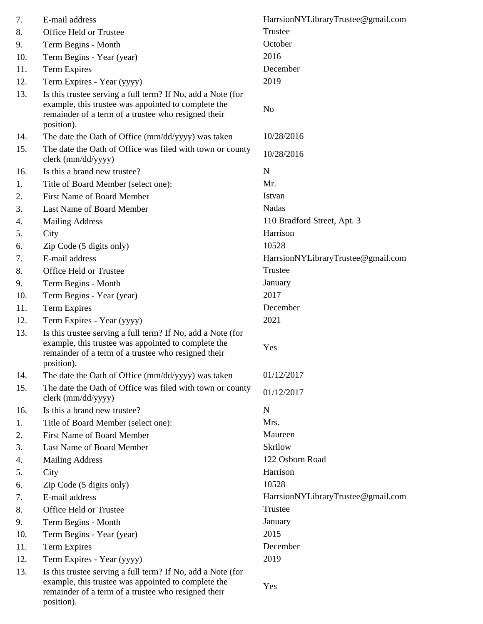| 7.  | E-mail address                                                                                                                                                                          | HarrsionNYLibraryTrustee@gmail.com |
|-----|-----------------------------------------------------------------------------------------------------------------------------------------------------------------------------------------|------------------------------------|
| 8.  | Office Held or Trustee                                                                                                                                                                  | Trustee                            |
| 9.  | Term Begins - Month                                                                                                                                                                     | October                            |
| 10. | Term Begins - Year (year)                                                                                                                                                               | 2016                               |
| 11. | <b>Term Expires</b>                                                                                                                                                                     | December                           |
| 12. | Term Expires - Year (yyyy)                                                                                                                                                              | 2019                               |
| 13. | Is this trustee serving a full term? If No, add a Note (for<br>example, this trustee was appointed to complete the<br>remainder of a term of a trustee who resigned their<br>position). | N <sub>o</sub>                     |
| 14. | The date the Oath of Office (mm/dd/yyyy) was taken                                                                                                                                      | 10/28/2016                         |
| 15. | The date the Oath of Office was filed with town or county<br>clerk (mm/dd/yyyy)                                                                                                         | 10/28/2016                         |
| 16. | Is this a brand new trustee?                                                                                                                                                            | $\mathbf N$                        |
| 1.  | Title of Board Member (select one):                                                                                                                                                     | Mr.                                |
| 2.  | <b>First Name of Board Member</b>                                                                                                                                                       | Istvan                             |
| 3.  | Last Name of Board Member                                                                                                                                                               | Nadas                              |
| 4.  | <b>Mailing Address</b>                                                                                                                                                                  | 110 Bradford Street, Apt. 3        |
| 5.  | City                                                                                                                                                                                    | Harrison                           |
| 6.  | Zip Code (5 digits only)                                                                                                                                                                | 10528                              |
| 7.  | E-mail address                                                                                                                                                                          | HarrsionNYLibraryTrustee@gmail.com |
| 8.  | Office Held or Trustee                                                                                                                                                                  | Trustee                            |
| 9.  | Term Begins - Month                                                                                                                                                                     | January                            |
| 10. | Term Begins - Year (year)                                                                                                                                                               | 2017                               |
| 11. | <b>Term Expires</b>                                                                                                                                                                     | December                           |
| 12. | Term Expires - Year (yyyy)                                                                                                                                                              | 2021                               |
| 13. | Is this trustee serving a full term? If No, add a Note (for<br>example, this trustee was appointed to complete the<br>remainder of a term of a trustee who resigned their<br>position). | Yes                                |
| 14. | The date the Oath of Office (mm/dd/yyyy) was taken                                                                                                                                      | 01/12/2017                         |
| 15. | The date the Oath of Office was filed with town or county<br>clerk (mm/dd/yyyy)                                                                                                         | 01/12/2017                         |
| 16. | Is this a brand new trustee?                                                                                                                                                            | $\mathbf N$                        |
| 1.  | Title of Board Member (select one):                                                                                                                                                     | Mrs.                               |
| 2.  | <b>First Name of Board Member</b>                                                                                                                                                       | Maureen                            |
| 3.  | Last Name of Board Member                                                                                                                                                               | Skrilow                            |
| 4.  | <b>Mailing Address</b>                                                                                                                                                                  | 122 Osborn Road                    |
| 5.  | City                                                                                                                                                                                    | Harrison                           |
| 6.  | Zip Code (5 digits only)                                                                                                                                                                | 10528                              |
| 7.  | E-mail address                                                                                                                                                                          | HarrsionNYLibraryTrustee@gmail.com |
| 8.  | Office Held or Trustee                                                                                                                                                                  | Trustee                            |
| 9.  | Term Begins - Month                                                                                                                                                                     | January                            |
| 10. | Term Begins - Year (year)                                                                                                                                                               | 2015                               |
| 11. | <b>Term Expires</b>                                                                                                                                                                     | December                           |
| 12. | Term Expires - Year (yyyy)                                                                                                                                                              | 2019                               |
| 13. | Is this trustee serving a full term? If No, add a Note (for<br>example, this trustee was appointed to complete the<br>remainder of a term of a trustee who resigned their<br>position). | Yes                                |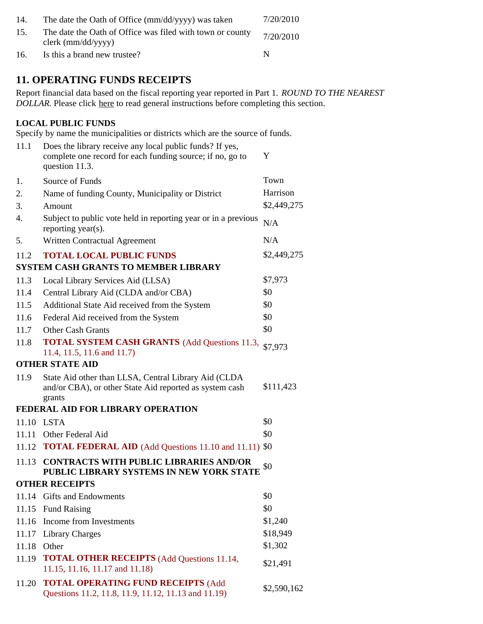| 14. | The date the Oath of Office (mm/dd/yyyy) was taken                                | 7/20/2010 |
|-----|-----------------------------------------------------------------------------------|-----------|
| 15. | The date the Oath of Office was filed with town or county<br>$clerk$ (mm/dd/yyyy) | 7/20/2010 |
| 16. | Is this a brand new trustee?                                                      | N         |

### **11. OPERATING FUNDS RECEIPTS**

Report financial data based on the fiscal reporting year reported in Part 1. *ROUND TO THE NEAREST DOLLAR.* Please click here to read general instructions before completing this section.

#### **LOCAL PUBLIC FUNDS**

Specify by name the municipalities or districts which are the source of funds.

| 11.1  | Does the library receive any local public funds? If yes,<br>complete one record for each funding source; if no, go to<br>question 11.3. | Y           |
|-------|-----------------------------------------------------------------------------------------------------------------------------------------|-------------|
| 1.    | Source of Funds                                                                                                                         | Town        |
| 2.    | Name of funding County, Municipality or District                                                                                        | Harrison    |
| 3.    | Amount                                                                                                                                  | \$2,449,275 |
| 4.    | Subject to public vote held in reporting year or in a previous<br>reporting year(s).                                                    | N/A         |
| 5.    | Written Contractual Agreement                                                                                                           | N/A         |
| 11.2  | <b>TOTAL LOCAL PUBLIC FUNDS</b>                                                                                                         | \$2,449,275 |
|       | <b>SYSTEM CASH GRANTS TO MEMBER LIBRARY</b>                                                                                             |             |
| 11.3  | Local Library Services Aid (LLSA)                                                                                                       | \$7,973     |
| 11.4  | Central Library Aid (CLDA and/or CBA)                                                                                                   | \$0         |
| 11.5  | Additional State Aid received from the System                                                                                           | \$0         |
| 11.6  | Federal Aid received from the System                                                                                                    | \$0         |
| 11.7  | <b>Other Cash Grants</b>                                                                                                                | \$0         |
| 11.8  | <b>TOTAL SYSTEM CASH GRANTS</b> (Add Questions 11.3,<br>11.4, 11.5, 11.6 and 11.7)                                                      | \$7,973     |
|       | <b>OTHER STATE AID</b>                                                                                                                  |             |
| 11.9  | State Aid other than LLSA, Central Library Aid (CLDA<br>and/or CBA), or other State Aid reported as system cash<br>grants               | \$111,423   |
|       | FEDERAL AID FOR LIBRARY OPERATION                                                                                                       |             |
|       | 11.10 LSTA                                                                                                                              | \$0         |
| 11.11 | Other Federal Aid                                                                                                                       | \$0         |
| 11.12 | <b>TOTAL FEDERAL AID</b> (Add Questions 11.10 and 11.11) \$0                                                                            |             |
| 11.13 | CONTRACTS WITH PUBLIC LIBRARIES AND/OR<br>PUBLIC LIBRARY SYSTEMS IN NEW YORK STATE                                                      | \$0         |
|       | <b>OTHER RECEIPTS</b>                                                                                                                   |             |
|       | 11.14 Gifts and Endowments                                                                                                              | \$0         |
| 11.15 | <b>Fund Raising</b>                                                                                                                     | \$0         |
|       | 11.16 Income from Investments                                                                                                           | \$1,240     |
| 11.17 | <b>Library Charges</b>                                                                                                                  | \$18,949    |
| 11.18 | Other                                                                                                                                   | \$1,302     |
| 11.19 | <b>TOTAL OTHER RECEIPTS</b> (Add Questions 11.14,<br>11.15, 11.16, 11.17 and 11.18)                                                     | \$21,491    |
| 11.20 | <b>TOTAL OPERATING FUND RECEIPTS (Add</b><br>Questions 11.2, 11.8, 11.9, 11.12, 11.13 and 11.19)                                        | \$2,590,162 |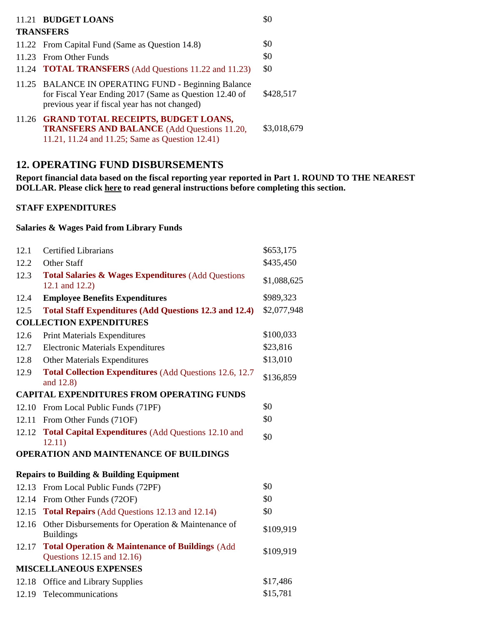| 11.21 BUDGET LOANS                                                                                                                                             | \$0         |
|----------------------------------------------------------------------------------------------------------------------------------------------------------------|-------------|
| <b>TRANSFERS</b>                                                                                                                                               |             |
| 11.22 From Capital Fund (Same as Question 14.8)                                                                                                                | \$0         |
| 11.23 From Other Funds                                                                                                                                         | \$0         |
| 11.24 <b>TOTAL TRANSFERS</b> (Add Questions 11.22 and 11.23)                                                                                                   | \$0         |
| 11.25 BALANCE IN OPERATING FUND - Beginning Balance<br>for Fiscal Year Ending 2017 (Same as Question 12.40 of<br>previous year if fiscal year has not changed) | \$428,517   |
| 11.26 GRAND TOTAL RECEIPTS, BUDGET LOANS,<br><b>TRANSFERS AND BALANCE</b> (Add Questions 11.20,<br>11.21, 11.24 and 11.25; Same as Question 12.41)             | \$3,018,679 |

## **12. OPERATING FUND DISBURSEMENTS**

**Report financial data based on the fiscal reporting year reported in Part 1. ROUND TO THE NEAREST DOLLAR. Please click here to read general instructions before completing this section.**

#### **STAFF EXPENDITURES**

#### **Salaries & Wages Paid from Library Funds**

| 12.1                                   | <b>Certified Librarians</b>                                                              | \$653,175   |
|----------------------------------------|------------------------------------------------------------------------------------------|-------------|
| 12.2                                   | Other Staff                                                                              | \$435,450   |
| 12.3                                   | <b>Total Salaries &amp; Wages Expenditures (Add Questions)</b><br>12.1 and 12.2)         | \$1,088,625 |
| 12.4                                   | <b>Employee Benefits Expenditures</b>                                                    | \$989,323   |
| 12.5                                   | <b>Total Staff Expenditures (Add Questions 12.3 and 12.4)</b>                            | \$2,077,948 |
|                                        | <b>COLLECTION EXPENDITURES</b>                                                           |             |
| 12.6                                   | <b>Print Materials Expenditures</b>                                                      | \$100,033   |
| 12.7                                   | <b>Electronic Materials Expenditures</b>                                                 | \$23,816    |
| 12.8                                   | <b>Other Materials Expenditures</b>                                                      | \$13,010    |
| 12.9                                   | <b>Total Collection Expenditures (Add Questions 12.6, 12.7)</b><br>and 12.8)             | \$136,859   |
|                                        | <b>CAPITAL EXPENDITURES FROM OPERATING FUNDS</b>                                         |             |
|                                        | 12.10 From Local Public Funds (71PF)                                                     | \$0         |
|                                        | 12.11 From Other Funds (71OF)                                                            | \$0         |
| 12.12                                  | <b>Total Capital Expenditures (Add Questions 12.10 and</b><br>12.11)                     | \$0         |
| OPERATION AND MAINTENANCE OF BUILDINGS |                                                                                          |             |
|                                        | <b>Repairs to Building &amp; Building Equipment</b>                                      |             |
|                                        | 12.13 From Local Public Funds (72PF)                                                     | \$0         |
|                                        | 12.14 From Other Funds (72OF)                                                            | \$0         |
|                                        | 12.15 Total Repairs (Add Questions 12.13 and 12.14)                                      | \$0         |
|                                        | 12.16 Other Disbursements for Operation & Maintenance of<br><b>Buildings</b>             | \$109,919   |
| 12.17                                  | <b>Total Operation &amp; Maintenance of Buildings (Add</b><br>Questions 12.15 and 12.16) | \$109,919   |
| <b>MISCELLANEOUS EXPENSES</b>          |                                                                                          |             |
|                                        | 12.18 Office and Library Supplies                                                        | \$17,486    |
|                                        | 12.19 Telecommunications                                                                 | \$15,781    |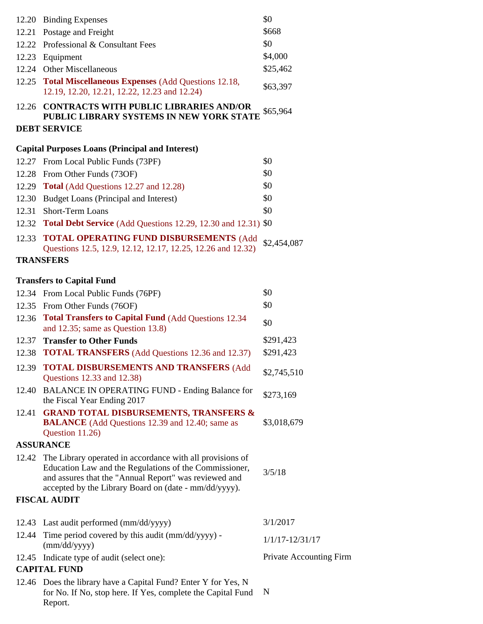|       | 12.20 Binding Expenses                                                                                                                                                                                                                      | \$0                     |
|-------|---------------------------------------------------------------------------------------------------------------------------------------------------------------------------------------------------------------------------------------------|-------------------------|
|       | 12.21 Postage and Freight                                                                                                                                                                                                                   | \$668                   |
|       | 12.22 Professional & Consultant Fees                                                                                                                                                                                                        | \$0                     |
|       | 12.23 Equipment                                                                                                                                                                                                                             | \$4,000                 |
|       | 12.24 Other Miscellaneous                                                                                                                                                                                                                   | \$25,462                |
|       | 12.25 Total Miscellaneous Expenses (Add Questions 12.18,<br>12.19, 12.20, 12.21, 12.22, 12.23 and 12.24)                                                                                                                                    | \$63,397                |
|       | 12.26 CONTRACTS WITH PUBLIC LIBRARIES AND/OR<br>PUBLIC LIBRARY SYSTEMS IN NEW YORK STATE                                                                                                                                                    | \$65,964                |
|       | <b>DEBT SERVICE</b>                                                                                                                                                                                                                         |                         |
|       | <b>Capital Purposes Loans (Principal and Interest)</b>                                                                                                                                                                                      |                         |
|       | 12.27 From Local Public Funds (73PF)                                                                                                                                                                                                        | \$0                     |
|       | 12.28 From Other Funds (73OF)                                                                                                                                                                                                               | \$0                     |
|       | 12.29 Total (Add Questions 12.27 and 12.28)                                                                                                                                                                                                 | \$0                     |
|       | 12.30 Budget Loans (Principal and Interest)                                                                                                                                                                                                 | \$0                     |
| 12.31 | Short-Term Loans                                                                                                                                                                                                                            | \$0                     |
|       | 12.32 Total Debt Service (Add Questions 12.29, 12.30 and 12.31) \$0                                                                                                                                                                         |                         |
|       | 12.33 TOTAL OPERATING FUND DISBURSEMENTS (Add                                                                                                                                                                                               | \$2,454,087             |
|       | Questions 12.5, 12.9, 12.12, 12.17, 12.25, 12.26 and 12.32)                                                                                                                                                                                 |                         |
|       | <b>TRANSFERS</b>                                                                                                                                                                                                                            |                         |
|       | <b>Transfers to Capital Fund</b>                                                                                                                                                                                                            |                         |
|       | 12.34 From Local Public Funds (76PF)                                                                                                                                                                                                        | \$0                     |
|       | 12.35 From Other Funds (76OF)                                                                                                                                                                                                               | \$0                     |
|       | 12.36 Total Transfers to Capital Fund (Add Questions 12.34<br>and $12.35$ ; same as Question $13.8$ )                                                                                                                                       | \$0                     |
|       | 12.37 Transfer to Other Funds                                                                                                                                                                                                               | \$291,423               |
|       | 12.38 <b>TOTAL TRANSFERS</b> (Add Questions 12.36 and 12.37)                                                                                                                                                                                | \$291,423               |
|       | 12.39 TOTAL DISBURSEMENTS AND TRANSFERS (Add<br>Questions 12.33 and 12.38)                                                                                                                                                                  | \$2,745,510             |
|       | 12.40 BALANCE IN OPERATING FUND - Ending Balance for<br>the Fiscal Year Ending 2017                                                                                                                                                         | \$273,169               |
| 12.41 | <b>GRAND TOTAL DISBURSEMENTS, TRANSFERS &amp;</b><br><b>BALANCE</b> (Add Questions 12.39 and 12.40; same as<br>Question 11.26)                                                                                                              | \$3,018,679             |
|       | <b>ASSURANCE</b>                                                                                                                                                                                                                            |                         |
|       | 12.42 The Library operated in accordance with all provisions of<br>Education Law and the Regulations of the Commissioner,<br>and assures that the "Annual Report" was reviewed and<br>accepted by the Library Board on (date - mm/dd/yyyy). | 3/5/18                  |
|       | <b>FISCAL AUDIT</b>                                                                                                                                                                                                                         |                         |
|       | 12.43 Last audit performed (mm/dd/yyyy)                                                                                                                                                                                                     | 3/1/2017                |
|       | 12.44 Time period covered by this audit (mm/dd/yyyy) -                                                                                                                                                                                      |                         |
|       | (mm/dd/yyyy)                                                                                                                                                                                                                                | $1/1/17 - 12/31/17$     |
|       | 12.45 Indicate type of audit (select one):<br><b>CAPITAL FUND</b>                                                                                                                                                                           | Private Accounting Firm |
|       | 12.46 Does the library have a Capital Fund? Enter Y for Yes, N                                                                                                                                                                              |                         |
|       | for No. If No, stop here. If Yes, complete the Capital Fund<br>Report.                                                                                                                                                                      | N                       |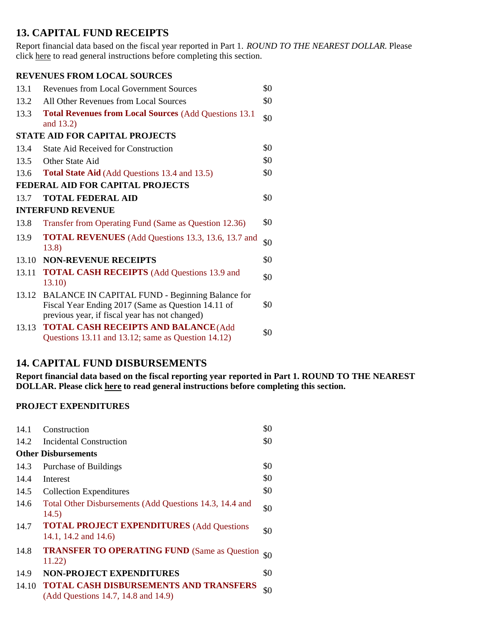### **13. CAPITAL FUND RECEIPTS**

Report financial data based on the fiscal year reported in Part 1. *ROUND TO THE NEAREST DOLLAR.* Please click here to read general instructions before completing this section.

#### **REVENUES FROM LOCAL SOURCES**

| 13.1                                    | <b>Revenues from Local Government Sources</b>                                                                                                                  |     |  |  |
|-----------------------------------------|----------------------------------------------------------------------------------------------------------------------------------------------------------------|-----|--|--|
| 13.2                                    | All Other Revenues from Local Sources                                                                                                                          | \$0 |  |  |
| 13.3                                    | <b>Total Revenues from Local Sources (Add Questions 13.1)</b><br>and 13.2)                                                                                     | \$0 |  |  |
| <b>STATE AID FOR CAPITAL PROJECTS</b>   |                                                                                                                                                                |     |  |  |
| 13.4                                    | <b>State Aid Received for Construction</b>                                                                                                                     | \$0 |  |  |
| 13.5                                    | Other State Aid                                                                                                                                                | \$0 |  |  |
| 13.6                                    | <b>Total State Aid</b> (Add Questions 13.4 and 13.5)                                                                                                           | \$0 |  |  |
| <b>FEDERAL AID FOR CAPITAL PROJECTS</b> |                                                                                                                                                                |     |  |  |
| 13.7                                    | <b>TOTAL FEDERAL AID</b>                                                                                                                                       | \$0 |  |  |
| <b>INTERFUND REVENUE</b>                |                                                                                                                                                                |     |  |  |
| 13.8                                    | Transfer from Operating Fund (Same as Question 12.36)                                                                                                          | \$0 |  |  |
| 13.9                                    | <b>TOTAL REVENUES</b> (Add Questions 13.3, 13.6, 13.7 and<br>13.8)                                                                                             | \$0 |  |  |
| 13.10                                   | <b>NON-REVENUE RECEIPTS</b>                                                                                                                                    | \$0 |  |  |
| 13.11                                   | <b>TOTAL CASH RECEIPTS</b> (Add Questions 13.9 and<br>13.10)                                                                                                   | \$0 |  |  |
| 13.12                                   | <b>BALANCE IN CAPITAL FUND - Beginning Balance for</b><br>Fiscal Year Ending 2017 (Same as Question 14.11 of<br>previous year, if fiscal year has not changed) | \$0 |  |  |
| 13.13                                   | <b>TOTAL CASH RECEIPTS AND BALANCE (Add</b><br>Questions 13.11 and 13.12; same as Question 14.12)                                                              | \$0 |  |  |

## **14. CAPITAL FUND DISBURSEMENTS**

**Report financial data based on the fiscal reporting year reported in Part 1. ROUND TO THE NEAREST DOLLAR. Please click here to read general instructions before completing this section.**

#### **PROJECT EXPENDITURES**

| 14.1  | Construction                                                                  | \$0 |
|-------|-------------------------------------------------------------------------------|-----|
| 14.2  | Incidental Construction                                                       | \$0 |
|       | <b>Other Disbursements</b>                                                    |     |
| 14.3  | Purchase of Buildings                                                         | \$0 |
| 14.4  | Interest                                                                      | \$0 |
| 14.5  | <b>Collection Expenditures</b>                                                | \$0 |
| 14.6  | Total Other Disbursements (Add Questions 14.3, 14.4 and<br>14.5)              | \$0 |
| 14.7  | <b>TOTAL PROJECT EXPENDITURES (Add Questions</b><br>14.1, 14.2 and 14.6)      | \$0 |
| 14.8  | <b>TRANSFER TO OPERATING FUND (Same as Question</b><br>11.22)                 | \$0 |
| 14.9  | <b>NON-PROJECT EXPENDITURES</b>                                               | \$0 |
| 14.10 | TOTAL CASH DISBURSEMENTS AND TRANSFERS<br>(Add Questions 14.7, 14.8 and 14.9) | \$0 |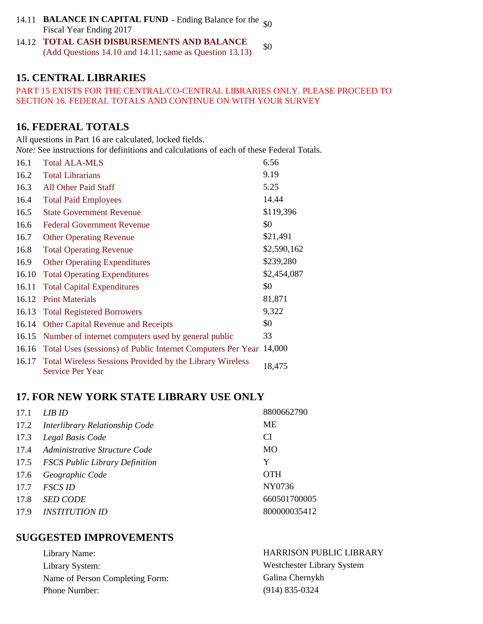- 14.11 Ending Balance for the **BALANCE IN CAPITAL FUND** \$0 Fiscal Year Ending 2017
- 14.12 **TOTAL CASH DISBURSEMENTS AND BALANCE** (Add Questions 14.10 and 14.11; same as Question 13.13) \$0

### **15. CENTRAL LIBRARIES**

#### PART 15 EXISTS FOR THE CENTRAL/CO-CENTRAL LIBRARIES ONLY. PLEASE PROCEED TO SECTION 16. FEDERAL TOTALS AND CONTINUE ON WITH YOUR SURVEY

## **16. FEDERAL TOTALS**

All questions in Part 16 are calculated, locked fields. *Note:* See instructions for definitions and calculations of each of these Federal Totals.

| 16.1  | <b>Total ALA-MLS</b>                                                                       | 6.56        |
|-------|--------------------------------------------------------------------------------------------|-------------|
| 16.2  | <b>Total Librarians</b>                                                                    | 9.19        |
| 16.3  | <b>All Other Paid Staff</b>                                                                | 5.25        |
| 16.4  | <b>Total Paid Employees</b>                                                                | 14.44       |
| 16.5  | <b>State Government Revenue</b>                                                            | \$119,396   |
| 16.6  | <b>Federal Government Revenue</b>                                                          | \$0         |
| 16.7  | <b>Other Operating Revenue</b>                                                             | \$21,491    |
| 16.8  | <b>Total Operating Revenue</b>                                                             | \$2,590,162 |
| 16.9  | <b>Other Operating Expenditures</b>                                                        | \$239,280   |
| 16.10 | <b>Total Operating Expenditures</b>                                                        | \$2,454,087 |
| 16.11 | <b>Total Capital Expenditures</b>                                                          | \$0         |
| 16.12 | <b>Print Materials</b>                                                                     | 81,871      |
|       | 16.13 Total Registered Borrowers                                                           | 9,322       |
| 16.14 | <b>Other Capital Revenue and Receipts</b>                                                  | \$0         |
| 16.15 | Number of internet computers used by general public                                        | 33          |
| 16.16 | Total Uses (sessions) of Public Internet Computers Per Year                                | 14,000      |
| 16.17 | <b>Total Wireless Sessions Provided by the Library Wireless</b><br><b>Service Per Year</b> | 18,475      |

## **17. FOR NEW YORK STATE LIBRARY USE ONLY**

| 17.1 | LIB ID                              | 8800662790   |
|------|-------------------------------------|--------------|
|      | 17.2 Interlibrary Relationship Code | МE           |
| 17.3 | Legal Basis Code                    | <b>CI</b>    |
|      | 17.4 Administrative Structure Code  | <b>MO</b>    |
|      | 17.5 FSCS Public Library Definition | Y            |
| 17.6 | Geographic Code                     | <b>OTH</b>   |
| 17.7 | <b>FSCS ID</b>                      | NY0736       |
| 17.8 | <b>SED CODE</b>                     | 660501700005 |
| 17.9 | <i><b>INSTITUTION ID</b></i>        | 800000035412 |

### **SUGGESTED IMPROVEMENTS**

| Library Name:                   | <b>HARRISON PUBLIC LIBRARY</b> |
|---------------------------------|--------------------------------|
| Library System:                 | Westchester Library System     |
| Name of Person Completing Form: | Galina Chernykh                |
| Phone Number:                   | $(914)$ 835-0324               |